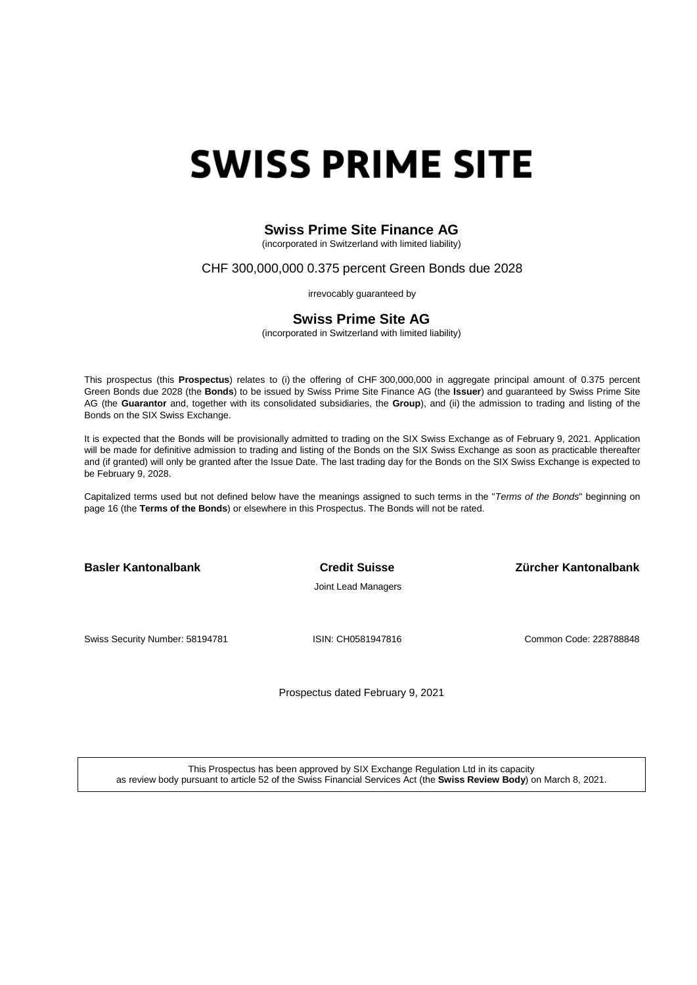# **SWISS PRIME SITE**

## **Swiss Prime Site Finance AG**

(incorporated in Switzerland with limited liability)

## CHF 300,000,000 0.375 percent Green Bonds due 2028

irrevocably guaranteed by

## **Swiss Prime Site AG**

(incorporated in Switzerland with limited liability)

This prospectus (this **Prospectus**) relates to (i) the offering of CHF 300,000,000 in aggregate principal amount of 0.375 percent Green Bonds due 2028 (the **Bonds**) to be issued by Swiss Prime Site Finance AG (the **Issuer**) and guaranteed by Swiss Prime Site AG (the **Guarantor** and, together with its consolidated subsidiaries, the **Group**), and (ii) the admission to trading and listing of the Bonds on the SIX Swiss Exchange.

It is expected that the Bonds will be provisionally admitted to trading on the SIX Swiss Exchange as of February 9, 2021. Application will be made for definitive admission to trading and listing of the Bonds on the SIX Swiss Exchange as soon as practicable thereafter and (if granted) will only be granted after the Issue Date. The last trading day for the Bonds on the SIX Swiss Exchange is expected to be February 9, 2028.

Capitalized terms used but not defined below have the meanings assigned to such terms in the "*Terms of the Bonds*" beginning on page 16 (the **Terms of the Bonds**) or elsewhere in this Prospectus. The Bonds will not be rated.

**Basler Kantonalbank Credit Suisse Zürcher Kantonalbank**

Joint Lead Managers

Swiss Security Number: 58194781 **ISIN: CH0581947816** Common Code: 228788848

Prospectus dated February 9, 2021

This Prospectus has been approved by SIX Exchange Regulation Ltd in its capacity as review body pursuant to article 52 of the Swiss Financial Services Act (the **Swiss Review Body**) on March 8, 2021.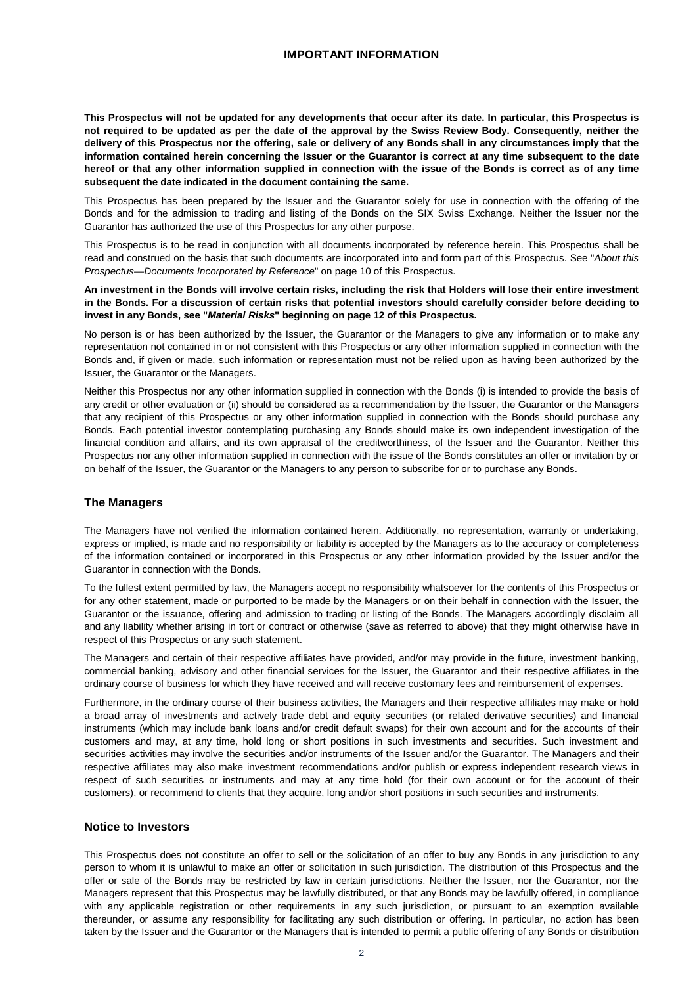## **IMPORTANT INFORMATION**

<span id="page-1-0"></span>**This Prospectus will not be updated for any developments that occur after its date. In particular, this Prospectus is not required to be updated as per the date of the approval by the Swiss Review Body. Consequently, neither the delivery of this Prospectus nor the offering, sale or delivery of any Bonds shall in any circumstances imply that the information contained herein concerning the Issuer or the Guarantor is correct at any time subsequent to the date hereof or that any other information supplied in connection with the issue of the Bonds is correct as of any time subsequent the date indicated in the document containing the same.**

This Prospectus has been prepared by the Issuer and the Guarantor solely for use in connection with the offering of the Bonds and for the admission to trading and listing of the Bonds on the SIX Swiss Exchange. Neither the Issuer nor the Guarantor has authorized the use of this Prospectus for any other purpose.

This Prospectus is to be read in conjunction with all documents incorporated by reference herein. This Prospectus shall be read and construed on the basis that such documents are incorporated into and form part of this Prospectus. See "*About this Prospectus—Documents Incorporated by Reference*" on page 10 of this Prospectus.

**An investment in the Bonds will involve certain risks, including the risk that Holders will lose their entire investment in the Bonds. For a discussion of certain risks that potential investors should carefully consider before deciding to invest in any Bonds, see "***Material Risks***" beginning on page 12 of this Prospectus.**

No person is or has been authorized by the Issuer, the Guarantor or the Managers to give any information or to make any representation not contained in or not consistent with this Prospectus or any other information supplied in connection with the Bonds and, if given or made, such information or representation must not be relied upon as having been authorized by the Issuer, the Guarantor or the Managers.

Neither this Prospectus nor any other information supplied in connection with the Bonds (i) is intended to provide the basis of any credit or other evaluation or (ii) should be considered as a recommendation by the Issuer, the Guarantor or the Managers that any recipient of this Prospectus or any other information supplied in connection with the Bonds should purchase any Bonds. Each potential investor contemplating purchasing any Bonds should make its own independent investigation of the financial condition and affairs, and its own appraisal of the creditworthiness, of the Issuer and the Guarantor. Neither this Prospectus nor any other information supplied in connection with the issue of the Bonds constitutes an offer or invitation by or on behalf of the Issuer, the Guarantor or the Managers to any person to subscribe for or to purchase any Bonds.

#### **The Managers**

The Managers have not verified the information contained herein. Additionally, no representation, warranty or undertaking, express or implied, is made and no responsibility or liability is accepted by the Managers as to the accuracy or completeness of the information contained or incorporated in this Prospectus or any other information provided by the Issuer and/or the Guarantor in connection with the Bonds.

To the fullest extent permitted by law, the Managers accept no responsibility whatsoever for the contents of this Prospectus or for any other statement, made or purported to be made by the Managers or on their behalf in connection with the Issuer, the Guarantor or the issuance, offering and admission to trading or listing of the Bonds. The Managers accordingly disclaim all and any liability whether arising in tort or contract or otherwise (save as referred to above) that they might otherwise have in respect of this Prospectus or any such statement.

The Managers and certain of their respective affiliates have provided, and/or may provide in the future, investment banking, commercial banking, advisory and other financial services for the Issuer, the Guarantor and their respective affiliates in the ordinary course of business for which they have received and will receive customary fees and reimbursement of expenses.

Furthermore, in the ordinary course of their business activities, the Managers and their respective affiliates may make or hold a broad array of investments and actively trade debt and equity securities (or related derivative securities) and financial instruments (which may include bank loans and/or credit default swaps) for their own account and for the accounts of their customers and may, at any time, hold long or short positions in such investments and securities. Such investment and securities activities may involve the securities and/or instruments of the Issuer and/or the Guarantor. The Managers and their respective affiliates may also make investment recommendations and/or publish or express independent research views in respect of such securities or instruments and may at any time hold (for their own account or for the account of their customers), or recommend to clients that they acquire, long and/or short positions in such securities and instruments.

## **Notice to Investors**

This Prospectus does not constitute an offer to sell or the solicitation of an offer to buy any Bonds in any jurisdiction to any person to whom it is unlawful to make an offer or solicitation in such jurisdiction. The distribution of this Prospectus and the offer or sale of the Bonds may be restricted by law in certain jurisdictions. Neither the Issuer, nor the Guarantor, nor the Managers represent that this Prospectus may be lawfully distributed, or that any Bonds may be lawfully offered, in compliance with any applicable registration or other requirements in any such jurisdiction, or pursuant to an exemption available thereunder, or assume any responsibility for facilitating any such distribution or offering. In particular, no action has been taken by the Issuer and the Guarantor or the Managers that is intended to permit a public offering of any Bonds or distribution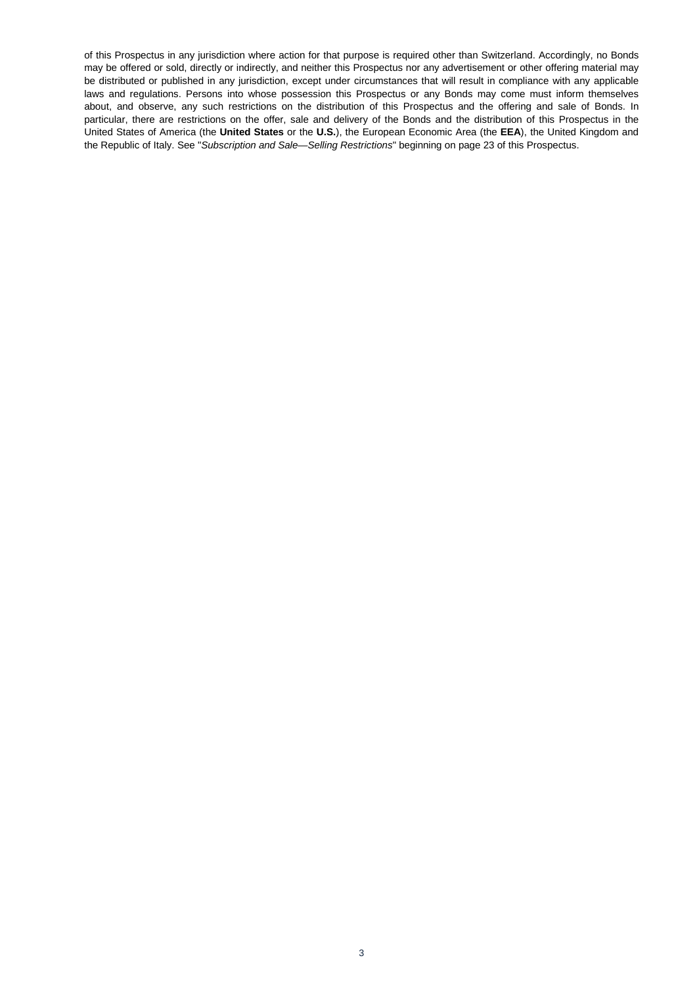of this Prospectus in any jurisdiction where action for that purpose is required other than Switzerland. Accordingly, no Bonds may be offered or sold, directly or indirectly, and neither this Prospectus nor any advertisement or other offering material may be distributed or published in any jurisdiction, except under circumstances that will result in compliance with any applicable laws and regulations. Persons into whose possession this Prospectus or any Bonds may come must inform themselves about, and observe, any such restrictions on the distribution of this Prospectus and the offering and sale of Bonds. In particular, there are restrictions on the offer, sale and delivery of the Bonds and the distribution of this Prospectus in the United States of America (the **United States** or the **U.S.**), the European Economic Area (the **EEA**), the United Kingdom and the Republic of Italy. See "*Subscription and Sale—Selling Restrictions*" beginning on page 23 of this Prospectus.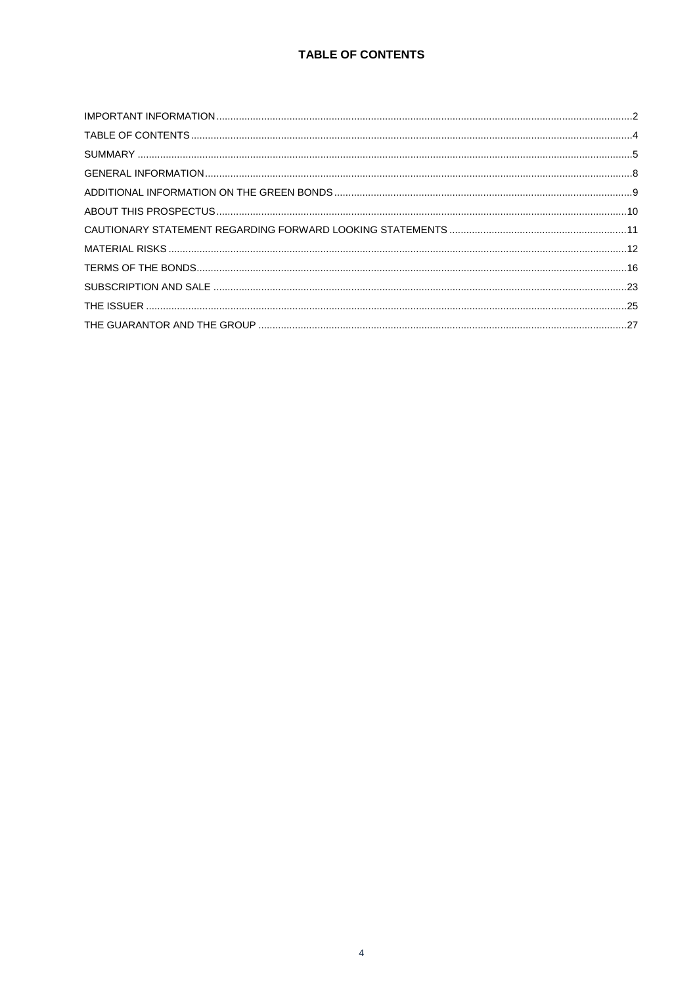<span id="page-3-0"></span>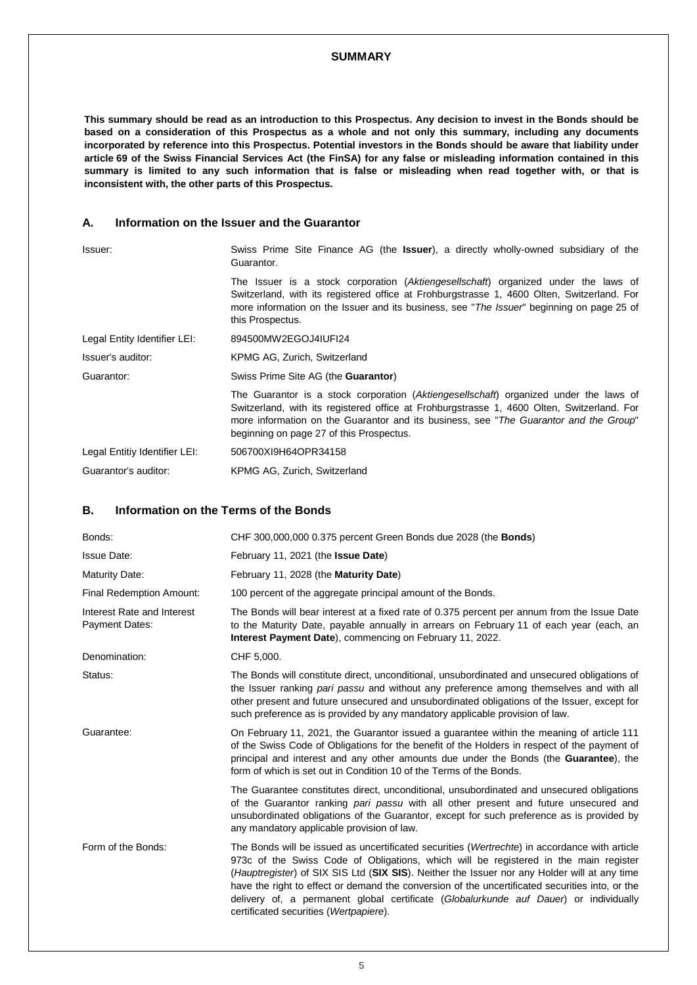#### **SUMMARY**

<span id="page-4-0"></span>**This summary should be read as an introduction to this Prospectus. Any decision to invest in the Bonds should be based on a consideration of this Prospectus as a whole and not only this summary, including any documents incorporated by reference into this Prospectus. Potential investors in the Bonds should be aware that liability under article 69 of the Swiss Financial Services Act (the FinSA) for any false or misleading information contained in this summary is limited to any such information that is false or misleading when read together with, or that is inconsistent with, the other parts of this Prospectus.**

## **A. Information on the Issuer and the Guarantor**

| Issuer:                       | Swiss Prime Site Finance AG (the <b>Issuer</b> ), a directly wholly-owned subsidiary of the<br>Guarantor.                                                                                                                                                                                                                |
|-------------------------------|--------------------------------------------------------------------------------------------------------------------------------------------------------------------------------------------------------------------------------------------------------------------------------------------------------------------------|
|                               | The Issuer is a stock corporation (Aktiengesellschaft) organized under the laws of<br>Switzerland, with its registered office at Frohburgstrasse 1, 4600 Olten, Switzerland. For<br>more information on the Issuer and its business, see "The Issuer" beginning on page 25 of<br>this Prospectus.                        |
| Legal Entity Identifier LEI:  | 894500MW2EGOJ4IUFI24                                                                                                                                                                                                                                                                                                     |
| Issuer's auditor:             | KPMG AG, Zurich, Switzerland                                                                                                                                                                                                                                                                                             |
| Guarantor:                    | Swiss Prime Site AG (the <b>Guarantor</b> )                                                                                                                                                                                                                                                                              |
|                               | The Guarantor is a stock corporation (Aktiengesellschaft) organized under the laws of<br>Switzerland, with its registered office at Frohburgstrasse 1, 4600 Olten, Switzerland. For<br>more information on the Guarantor and its business, see "The Guarantor and the Group"<br>beginning on page 27 of this Prospectus. |
| Legal Entitiy Identifier LEI: | 506700XI9H64OPR34158                                                                                                                                                                                                                                                                                                     |
| Guarantor's auditor:          | KPMG AG, Zurich, Switzerland                                                                                                                                                                                                                                                                                             |

## **B. Information on the Terms of the Bonds**

| Bonds:                                              | CHF 300,000,000 0.375 percent Green Bonds due 2028 (the <b>Bonds</b> )                                                                                                                                                                                                                                                                                                                                                                                                                                                      |  |
|-----------------------------------------------------|-----------------------------------------------------------------------------------------------------------------------------------------------------------------------------------------------------------------------------------------------------------------------------------------------------------------------------------------------------------------------------------------------------------------------------------------------------------------------------------------------------------------------------|--|
| <b>Issue Date:</b>                                  | February 11, 2021 (the <b>Issue Date</b> )                                                                                                                                                                                                                                                                                                                                                                                                                                                                                  |  |
| Maturity Date:                                      | February 11, 2028 (the Maturity Date)                                                                                                                                                                                                                                                                                                                                                                                                                                                                                       |  |
| <b>Final Redemption Amount:</b>                     | 100 percent of the aggregate principal amount of the Bonds.                                                                                                                                                                                                                                                                                                                                                                                                                                                                 |  |
| Interest Rate and Interest<br><b>Payment Dates:</b> | The Bonds will bear interest at a fixed rate of 0.375 percent per annum from the Issue Date<br>to the Maturity Date, payable annually in arrears on February 11 of each year (each, an<br><b>Interest Payment Date</b> ), commencing on February 11, 2022.                                                                                                                                                                                                                                                                  |  |
| Denomination:                                       | CHF 5,000.                                                                                                                                                                                                                                                                                                                                                                                                                                                                                                                  |  |
| Status:                                             | The Bonds will constitute direct, unconditional, unsubordinated and unsecured obligations of<br>the Issuer ranking pari passu and without any preference among themselves and with all<br>other present and future unsecured and unsubordinated obligations of the Issuer, except for<br>such preference as is provided by any mandatory applicable provision of law.                                                                                                                                                       |  |
| Guarantee:                                          | On February 11, 2021, the Guarantor issued a guarantee within the meaning of article 111<br>of the Swiss Code of Obligations for the benefit of the Holders in respect of the payment of<br>principal and interest and any other amounts due under the Bonds (the Guarantee), the<br>form of which is set out in Condition 10 of the Terms of the Bonds.                                                                                                                                                                    |  |
|                                                     | The Guarantee constitutes direct, unconditional, unsubordinated and unsecured obligations<br>of the Guarantor ranking pari passu with all other present and future unsecured and<br>unsubordinated obligations of the Guarantor, except for such preference as is provided by<br>any mandatory applicable provision of law.                                                                                                                                                                                                 |  |
| Form of the Bonds:                                  | The Bonds will be issued as uncertificated securities (Wertrechte) in accordance with article<br>973c of the Swiss Code of Obligations, which will be registered in the main register<br>(Hauptregister) of SIX SIS Ltd (SIX SIS). Neither the Issuer nor any Holder will at any time<br>have the right to effect or demand the conversion of the uncertificated securities into, or the<br>delivery of, a permanent global certificate (Globalurkunde auf Dauer) or individually<br>certificated securities (Wertpapiere). |  |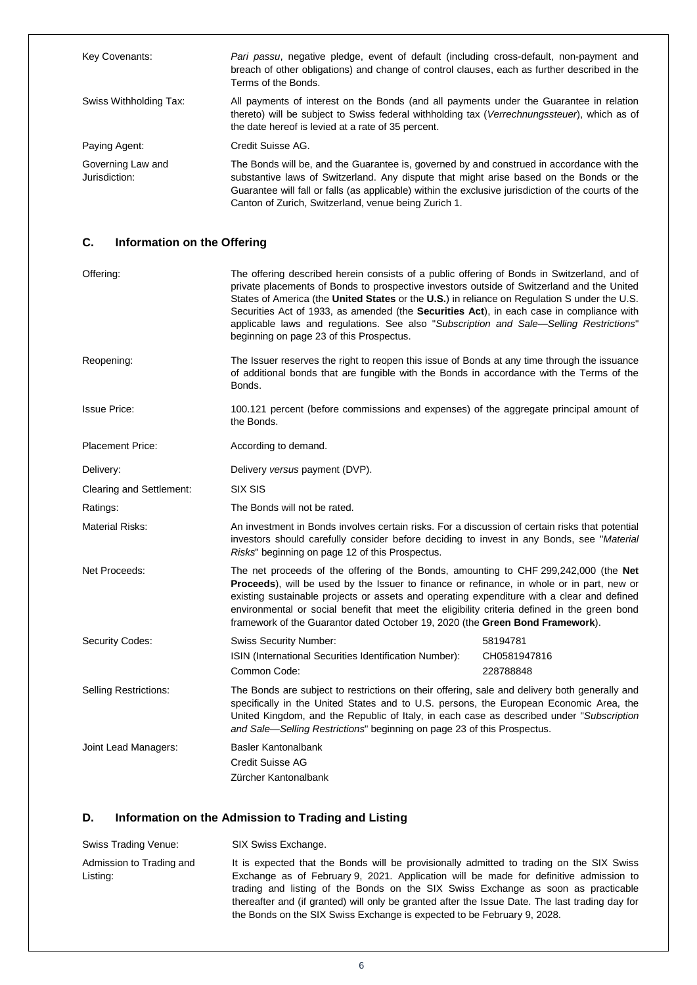| Key Covenants:                     | Pari passu, negative pledge, event of default (including cross-default, non-payment and<br>breach of other obligations) and change of control clauses, each as further described in the<br>Terms of the Bonds.                                                                                                                                      |
|------------------------------------|-----------------------------------------------------------------------------------------------------------------------------------------------------------------------------------------------------------------------------------------------------------------------------------------------------------------------------------------------------|
| Swiss Withholding Tax:             | All payments of interest on the Bonds (and all payments under the Guarantee in relation<br>thereto) will be subject to Swiss federal withholding tax (Verrechnungssteuer), which as of<br>the date hereof is levied at a rate of 35 percent.                                                                                                        |
| Paying Agent:                      | Credit Suisse AG.                                                                                                                                                                                                                                                                                                                                   |
| Governing Law and<br>Jurisdiction: | The Bonds will be, and the Guarantee is, governed by and construed in accordance with the<br>substantive laws of Switzerland. Any dispute that might arise based on the Bonds or the<br>Guarantee will fall or falls (as applicable) within the exclusive jurisdiction of the courts of the<br>Canton of Zurich, Switzerland, venue being Zurich 1. |

# **C. Information on the Offering**

| Offering:                    | The offering described herein consists of a public offering of Bonds in Switzerland, and of<br>private placements of Bonds to prospective investors outside of Switzerland and the United<br>States of America (the United States or the U.S.) in reliance on Regulation S under the U.S.<br>Securities Act of 1933, as amended (the Securities Act), in each case in compliance with<br>applicable laws and regulations. See also "Subscription and Sale—Selling Restrictions"<br>beginning on page 23 of this Prospectus. |                                       |
|------------------------------|-----------------------------------------------------------------------------------------------------------------------------------------------------------------------------------------------------------------------------------------------------------------------------------------------------------------------------------------------------------------------------------------------------------------------------------------------------------------------------------------------------------------------------|---------------------------------------|
| Reopening:                   | The Issuer reserves the right to reopen this issue of Bonds at any time through the issuance<br>of additional bonds that are fungible with the Bonds in accordance with the Terms of the<br>Bonds.                                                                                                                                                                                                                                                                                                                          |                                       |
| <b>Issue Price:</b>          | 100.121 percent (before commissions and expenses) of the aggregate principal amount of<br>the Bonds.                                                                                                                                                                                                                                                                                                                                                                                                                        |                                       |
| <b>Placement Price:</b>      | According to demand.                                                                                                                                                                                                                                                                                                                                                                                                                                                                                                        |                                       |
| Delivery:                    | Delivery versus payment (DVP).                                                                                                                                                                                                                                                                                                                                                                                                                                                                                              |                                       |
| Clearing and Settlement:     | SIX SIS                                                                                                                                                                                                                                                                                                                                                                                                                                                                                                                     |                                       |
| Ratings:                     | The Bonds will not be rated.                                                                                                                                                                                                                                                                                                                                                                                                                                                                                                |                                       |
| <b>Material Risks:</b>       | An investment in Bonds involves certain risks. For a discussion of certain risks that potential<br>investors should carefully consider before deciding to invest in any Bonds, see "Material<br>Risks" beginning on page 12 of this Prospectus.                                                                                                                                                                                                                                                                             |                                       |
| Net Proceeds:                | The net proceeds of the offering of the Bonds, amounting to CHF 299,242,000 (the Net<br>Proceeds), will be used by the Issuer to finance or refinance, in whole or in part, new or<br>existing sustainable projects or assets and operating expenditure with a clear and defined<br>environmental or social benefit that meet the eligibility criteria defined in the green bond<br>framework of the Guarantor dated October 19, 2020 (the Green Bond Framework).                                                           |                                       |
| Security Codes:              | <b>Swiss Security Number:</b><br>ISIN (International Securities Identification Number):<br>Common Code:                                                                                                                                                                                                                                                                                                                                                                                                                     | 58194781<br>CH0581947816<br>228788848 |
| <b>Selling Restrictions:</b> | The Bonds are subject to restrictions on their offering, sale and delivery both generally and<br>specifically in the United States and to U.S. persons, the European Economic Area, the<br>United Kingdom, and the Republic of Italy, in each case as described under "Subscription<br>and Sale-Selling Restrictions" beginning on page 23 of this Prospectus.                                                                                                                                                              |                                       |
| Joint Lead Managers:         | <b>Basler Kantonalbank</b><br><b>Credit Suisse AG</b><br>Zürcher Kantonalbank                                                                                                                                                                                                                                                                                                                                                                                                                                               |                                       |

## **D. Information on the Admission to Trading and Listing**

| Swiss Trading Venue:                 | SIX Swiss Exchange.                                                                                                                                                                                                                                                                                                                                                                                                                                  |
|--------------------------------------|------------------------------------------------------------------------------------------------------------------------------------------------------------------------------------------------------------------------------------------------------------------------------------------------------------------------------------------------------------------------------------------------------------------------------------------------------|
| Admission to Trading and<br>Listing: | It is expected that the Bonds will be provisionally admitted to trading on the SIX Swiss<br>Exchange as of February 9, 2021. Application will be made for definitive admission to<br>trading and listing of the Bonds on the SIX Swiss Exchange as soon as practicable<br>thereafter and (if granted) will only be granted after the Issue Date. The last trading day for<br>the Bonds on the SIX Swiss Exchange is expected to be February 9, 2028. |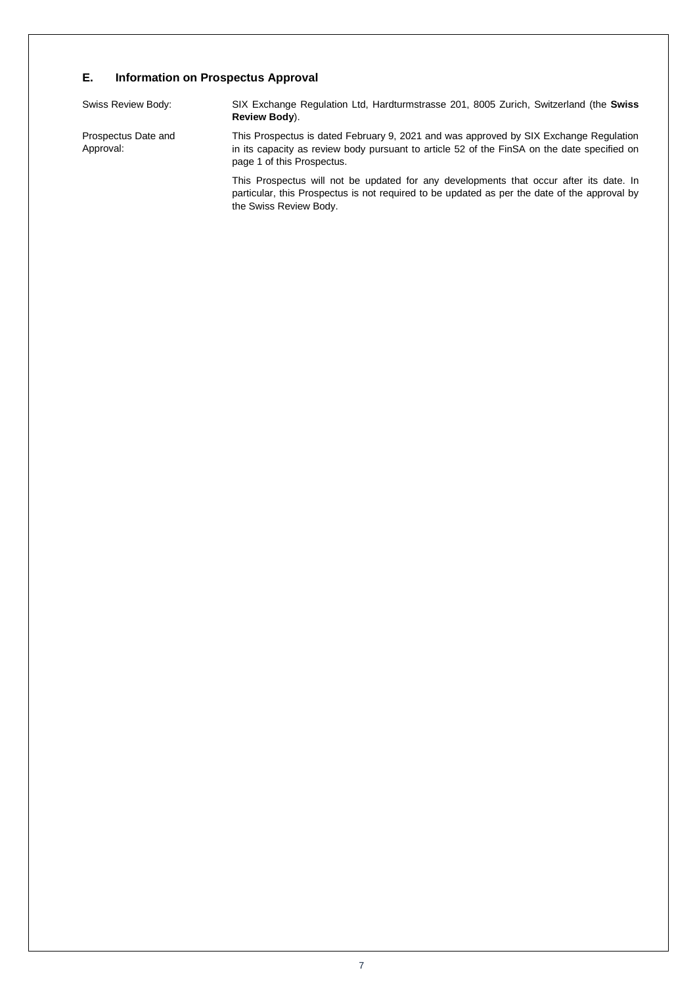## **E. Information on Prospectus Approval**

| Swiss Review Body:               | SIX Exchange Regulation Ltd, Hardturmstrasse 201, 8005 Zurich, Switzerland (the Swiss<br>Review Body).                                                                                                             |
|----------------------------------|--------------------------------------------------------------------------------------------------------------------------------------------------------------------------------------------------------------------|
| Prospectus Date and<br>Approval: | This Prospectus is dated February 9, 2021 and was approved by SIX Exchange Regulation<br>in its capacity as review body pursuant to article 52 of the FinSA on the date specified on<br>page 1 of this Prospectus. |
|                                  | This Prospectus will not be updated for any developments that occur after its date. In<br>particular, this Prospectus is not required to be updated as per the date of the approval by                             |

the Swiss Review Body.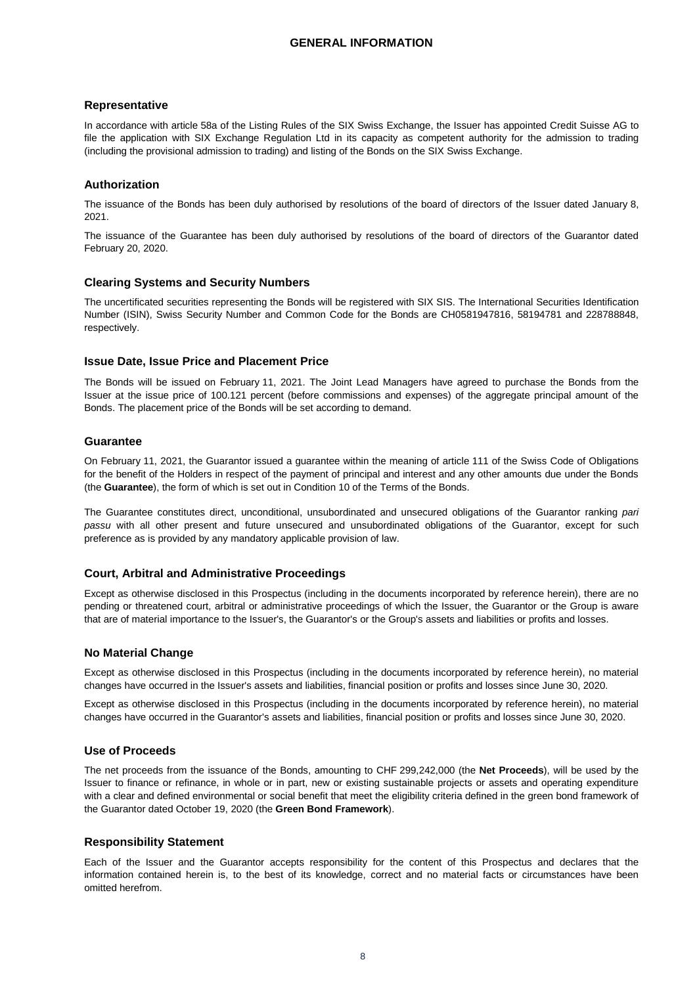## <span id="page-7-0"></span>**Representative**

In accordance with article 58a of the Listing Rules of the SIX Swiss Exchange, the Issuer has appointed Credit Suisse AG to file the application with SIX Exchange Regulation Ltd in its capacity as competent authority for the admission to trading (including the provisional admission to trading) and listing of the Bonds on the SIX Swiss Exchange.

## **Authorization**

The issuance of the Bonds has been duly authorised by resolutions of the board of directors of the Issuer dated January 8, 2021.

The issuance of the Guarantee has been duly authorised by resolutions of the board of directors of the Guarantor dated February 20, 2020.

## **Clearing Systems and Security Numbers**

The uncertificated securities representing the Bonds will be registered with SIX SIS. The International Securities Identification Number (ISIN), Swiss Security Number and Common Code for the Bonds are CH0581947816, 58194781 and 228788848, respectively.

#### **Issue Date, Issue Price and Placement Price**

The Bonds will be issued on February 11, 2021. The Joint Lead Managers have agreed to purchase the Bonds from the Issuer at the issue price of 100.121 percent (before commissions and expenses) of the aggregate principal amount of the Bonds. The placement price of the Bonds will be set according to demand.

## **Guarantee**

On February 11, 2021, the Guarantor issued a guarantee within the meaning of article 111 of the Swiss Code of Obligations for the benefit of the Holders in respect of the payment of principal and interest and any other amounts due under the Bonds (the **Guarantee**), the form of which is set out in Condition 10 of the Terms of the Bonds.

The Guarantee constitutes direct, unconditional, unsubordinated and unsecured obligations of the Guarantor ranking *pari passu* with all other present and future unsecured and unsubordinated obligations of the Guarantor, except for such preference as is provided by any mandatory applicable provision of law.

#### **Court, Arbitral and Administrative Proceedings**

Except as otherwise disclosed in this Prospectus (including in the documents incorporated by reference herein), there are no pending or threatened court, arbitral or administrative proceedings of which the Issuer, the Guarantor or the Group is aware that are of material importance to the Issuer's, the Guarantor's or the Group's assets and liabilities or profits and losses.

#### **No Material Change**

Except as otherwise disclosed in this Prospectus (including in the documents incorporated by reference herein), no material changes have occurred in the Issuer's assets and liabilities, financial position or profits and losses since June 30, 2020.

Except as otherwise disclosed in this Prospectus (including in the documents incorporated by reference herein), no material changes have occurred in the Guarantor's assets and liabilities, financial position or profits and losses since June 30, 2020.

## **Use of Proceeds**

The net proceeds from the issuance of the Bonds, amounting to CHF 299,242,000 (the **Net Proceeds**), will be used by the Issuer to finance or refinance, in whole or in part, new or existing sustainable projects or assets and operating expenditure with a clear and defined environmental or social benefit that meet the eligibility criteria defined in the green bond framework of the Guarantor dated October 19, 2020 (the **Green Bond Framework**).

#### **Responsibility Statement**

Each of the Issuer and the Guarantor accepts responsibility for the content of this Prospectus and declares that the information contained herein is, to the best of its knowledge, correct and no material facts or circumstances have been omitted herefrom.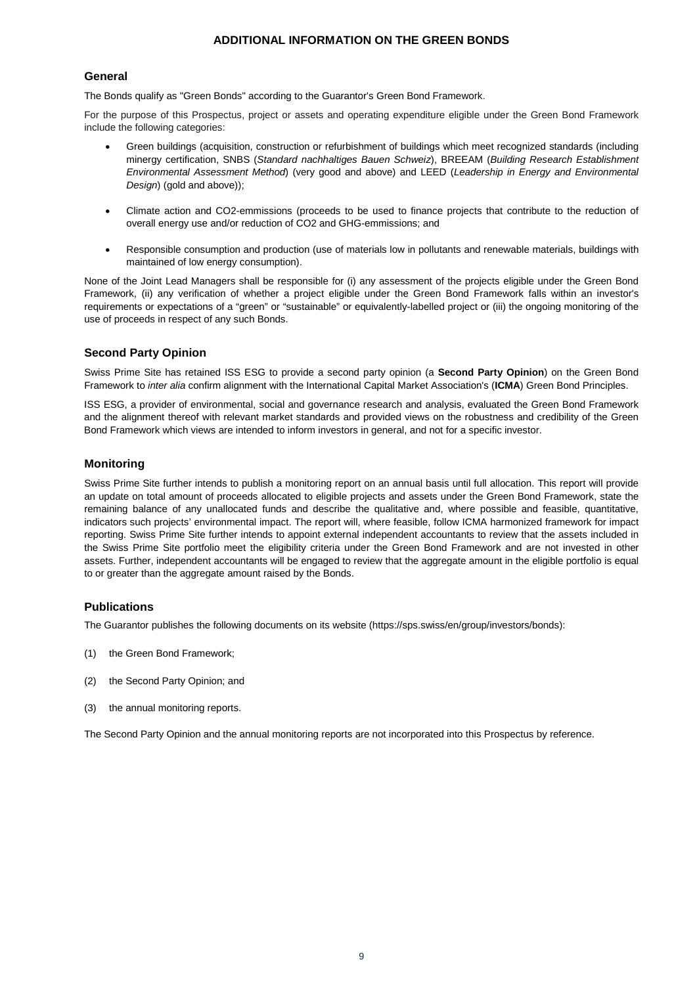## **ADDITIONAL INFORMATION ON THE GREEN BONDS**

## <span id="page-8-0"></span>**General**

The Bonds qualify as "Green Bonds" according to the Guarantor's Green Bond Framework.

For the purpose of this Prospectus, project or assets and operating expenditure eligible under the Green Bond Framework include the following categories:

- Green buildings (acquisition, construction or refurbishment of buildings which meet recognized standards (including minergy certification, SNBS (*Standard nachhaltiges Bauen Schweiz*), BREEAM (*Building Research Establishment Environmental Assessment Method*) (very good and above) and LEED (*Leadership in Energy and Environmental Design*) (gold and above));
- Climate action and CO2-emmissions (proceeds to be used to finance projects that contribute to the reduction of overall energy use and/or reduction of CO2 and GHG-emmissions; and
- Responsible consumption and production (use of materials low in pollutants and renewable materials, buildings with maintained of low energy consumption).

None of the Joint Lead Managers shall be responsible for (i) any assessment of the projects eligible under the Green Bond Framework, (ii) any verification of whether a project eligible under the Green Bond Framework falls within an investor's requirements or expectations of a "green" or "sustainable" or equivalently-labelled project or (iii) the ongoing monitoring of the use of proceeds in respect of any such Bonds.

## **Second Party Opinion**

Swiss Prime Site has retained ISS ESG to provide a second party opinion (a **Second Party Opinion**) on the Green Bond Framework to *inter alia* confirm alignment with the International Capital Market Association's (**ICMA**) Green Bond Principles.

ISS ESG, a provider of environmental, social and governance research and analysis, evaluated the Green Bond Framework and the alignment thereof with relevant market standards and provided views on the robustness and credibility of the Green Bond Framework which views are intended to inform investors in general, and not for a specific investor.

## **Monitoring**

Swiss Prime Site further intends to publish a monitoring report on an annual basis until full allocation. This report will provide an update on total amount of proceeds allocated to eligible projects and assets under the Green Bond Framework, state the remaining balance of any unallocated funds and describe the qualitative and, where possible and feasible, quantitative, indicators such projects' environmental impact. The report will, where feasible, follow ICMA harmonized framework for impact reporting. Swiss Prime Site further intends to appoint external independent accountants to review that the assets included in the Swiss Prime Site portfolio meet the eligibility criteria under the Green Bond Framework and are not invested in other assets. Further, independent accountants will be engaged to review that the aggregate amount in the eligible portfolio is equal to or greater than the aggregate amount raised by the Bonds.

## **Publications**

The Guarantor publishes the following documents on its website (https://sps.swiss/en/group/investors/bonds):

- (1) the Green Bond Framework;
- (2) the Second Party Opinion; and
- (3) the annual monitoring reports.

The Second Party Opinion and the annual monitoring reports are not incorporated into this Prospectus by reference.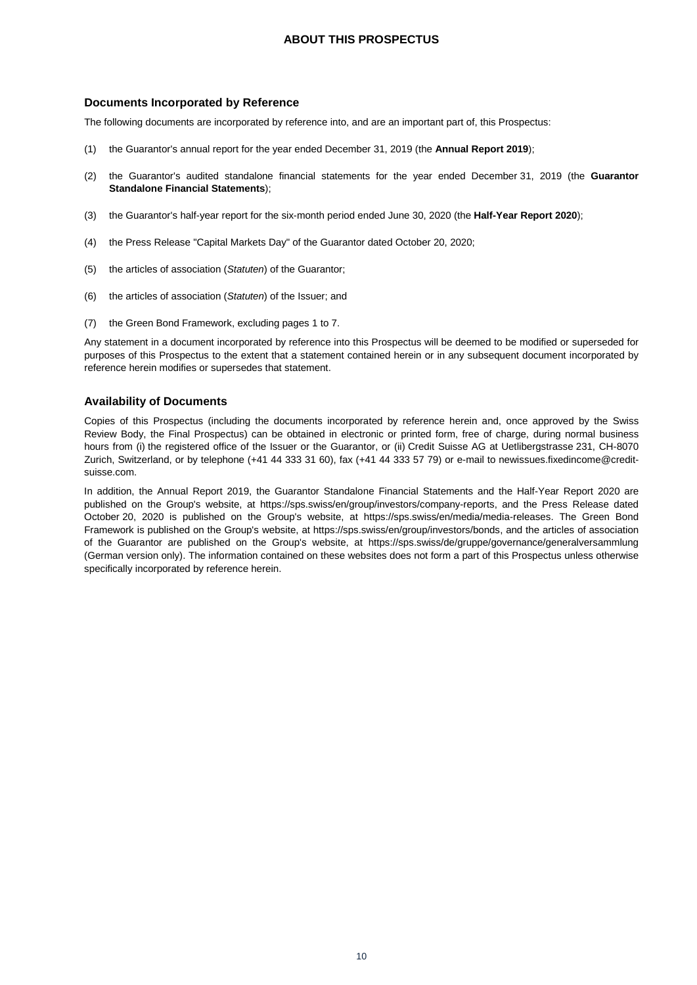## **ABOUT THIS PROSPECTUS**

#### <span id="page-9-0"></span>**Documents Incorporated by Reference**

The following documents are incorporated by reference into, and are an important part of, this Prospectus:

- (1) the Guarantor's annual report for the year ended December 31, 2019 (the **Annual Report 2019**);
- (2) the Guarantor's audited standalone financial statements for the year ended December 31, 2019 (the **Guarantor Standalone Financial Statements**);
- (3) the Guarantor's half-year report for the six-month period ended June 30, 2020 (the **Half-Year Report 2020**);
- (4) the Press Release "Capital Markets Day" of the Guarantor dated October 20, 2020;
- (5) the articles of association (*Statuten*) of the Guarantor;
- (6) the articles of association (*Statuten*) of the Issuer; and
- (7) the Green Bond Framework, excluding pages 1 to 7.

Any statement in a document incorporated by reference into this Prospectus will be deemed to be modified or superseded for purposes of this Prospectus to the extent that a statement contained herein or in any subsequent document incorporated by reference herein modifies or supersedes that statement.

## **Availability of Documents**

Copies of this Prospectus (including the documents incorporated by reference herein and, once approved by the Swiss Review Body, the Final Prospectus) can be obtained in electronic or printed form, free of charge, during normal business hours from (i) the registered office of the Issuer or the Guarantor, or (ii) Credit Suisse AG at Uetlibergstrasse 231, CH-8070 Zurich, Switzerland, or by telephone (+41 44 333 31 60), fax (+41 44 333 57 79) or e-mail to newissues.fixedincome@creditsuisse.com.

In addition, the Annual Report 2019, the Guarantor Standalone Financial Statements and the Half-Year Report 2020 are published on the Group's website, at https://sps.swiss/en/group/investors/company-reports, and the Press Release dated October 20, 2020 is published on the Group's website, at https://sps.swiss/en/media/media-releases. The Green Bond Framework is published on the Group's website, at https://sps.swiss/en/group/investors/bonds, and the articles of association of the Guarantor are published on the Group's website, at https://sps.swiss/de/gruppe/governance/generalversammlung (German version only). The information contained on these websites does not form a part of this Prospectus unless otherwise specifically incorporated by reference herein.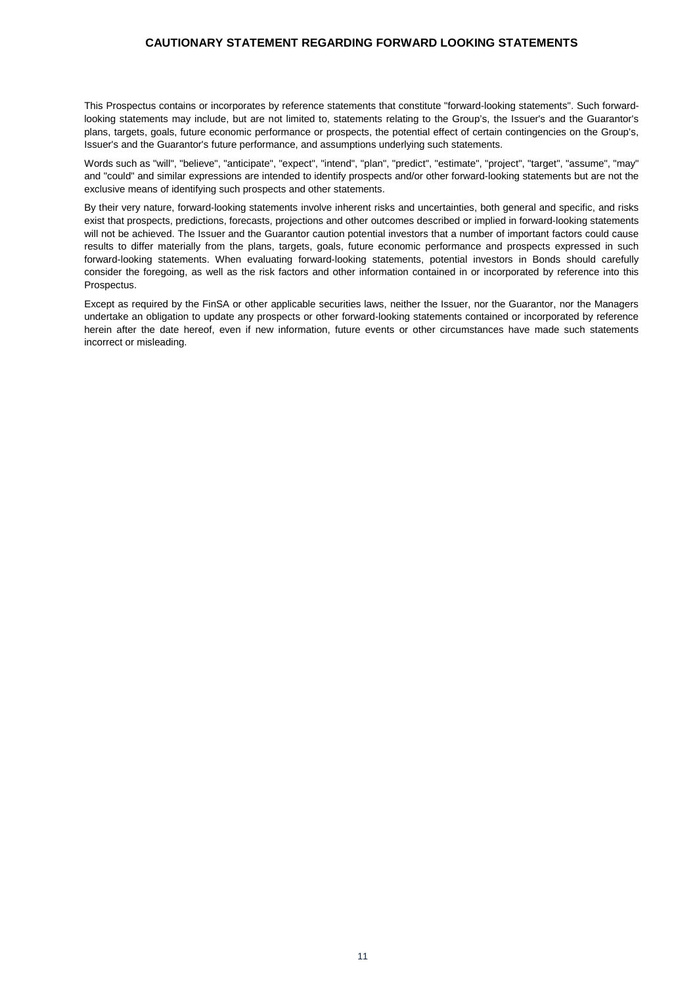## <span id="page-10-0"></span>**CAUTIONARY STATEMENT REGARDING FORWARD LOOKING STATEMENTS**

This Prospectus contains or incorporates by reference statements that constitute "forward-looking statements". Such forwardlooking statements may include, but are not limited to, statements relating to the Group's, the Issuer's and the Guarantor's plans, targets, goals, future economic performance or prospects, the potential effect of certain contingencies on the Group's, Issuer's and the Guarantor's future performance, and assumptions underlying such statements.

Words such as "will", "believe", "anticipate", "expect", "intend", "plan", "predict", "estimate", "project", "target", "assume", "may" and "could" and similar expressions are intended to identify prospects and/or other forward-looking statements but are not the exclusive means of identifying such prospects and other statements.

By their very nature, forward-looking statements involve inherent risks and uncertainties, both general and specific, and risks exist that prospects, predictions, forecasts, projections and other outcomes described or implied in forward-looking statements will not be achieved. The Issuer and the Guarantor caution potential investors that a number of important factors could cause results to differ materially from the plans, targets, goals, future economic performance and prospects expressed in such forward-looking statements. When evaluating forward-looking statements, potential investors in Bonds should carefully consider the foregoing, as well as the risk factors and other information contained in or incorporated by reference into this Prospectus.

Except as required by the FinSA or other applicable securities laws, neither the Issuer, nor the Guarantor, nor the Managers undertake an obligation to update any prospects or other forward-looking statements contained or incorporated by reference herein after the date hereof, even if new information, future events or other circumstances have made such statements incorrect or misleading.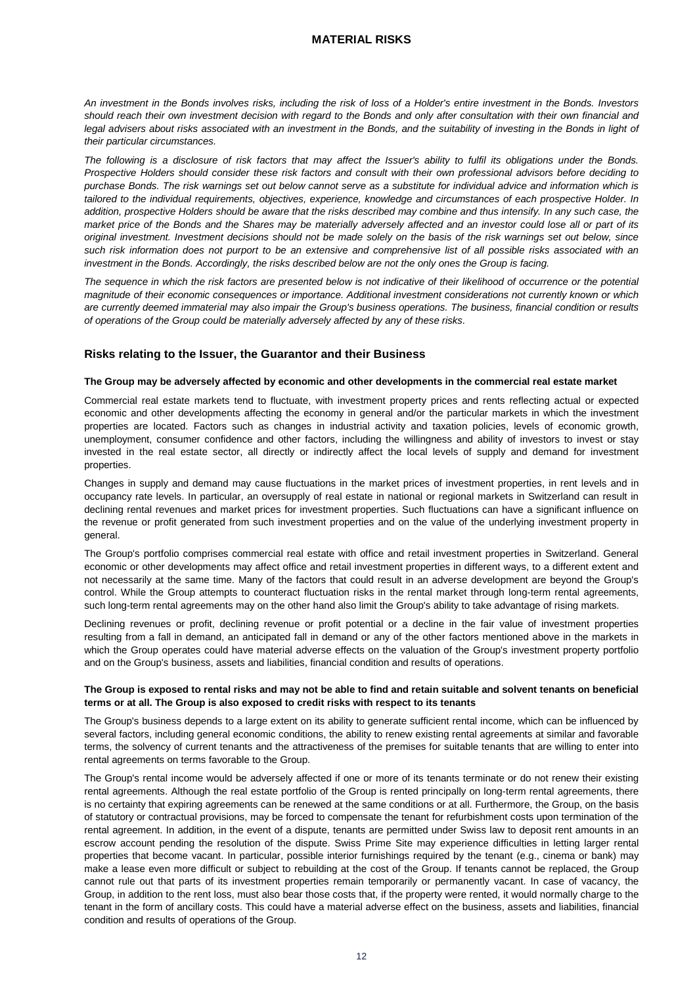## **MATERIAL RISKS**

<span id="page-11-0"></span>*An investment in the Bonds involves risks, including the risk of loss of a Holder's entire investment in the Bonds. Investors should reach their own investment decision with regard to the Bonds and only after consultation with their own financial and legal advisers about risks associated with an investment in the Bonds, and the suitability of investing in the Bonds in light of their particular circumstances.*

*The following is a disclosure of risk factors that may affect the Issuer's ability to fulfil its obligations under the Bonds. Prospective Holders should consider these risk factors and consult with their own professional advisors before deciding to purchase Bonds. The risk warnings set out below cannot serve as a substitute for individual advice and information which is tailored to the individual requirements, objectives, experience, knowledge and circumstances of each prospective Holder. In addition, prospective Holders should be aware that the risks described may combine and thus intensify. In any such case, the market price of the Bonds and the Shares may be materially adversely affected and an investor could lose all or part of its original investment. Investment decisions should not be made solely on the basis of the risk warnings set out below, since such risk information does not purport to be an extensive and comprehensive list of all possible risks associated with an investment in the Bonds. Accordingly, the risks described below are not the only ones the Group is facing.* 

*The sequence in which the risk factors are presented below is not indicative of their likelihood of occurrence or the potential magnitude of their economic consequences or importance. Additional investment considerations not currently known or which are currently deemed immaterial may also impair the Group's business operations. The business, financial condition or results of operations of the Group could be materially adversely affected by any of these risks.*

#### **Risks relating to the Issuer, the Guarantor and their Business**

#### **The Group may be adversely affected by economic and other developments in the commercial real estate market**

Commercial real estate markets tend to fluctuate, with investment property prices and rents reflecting actual or expected economic and other developments affecting the economy in general and/or the particular markets in which the investment properties are located. Factors such as changes in industrial activity and taxation policies, levels of economic growth, unemployment, consumer confidence and other factors, including the willingness and ability of investors to invest or stay invested in the real estate sector, all directly or indirectly affect the local levels of supply and demand for investment properties.

Changes in supply and demand may cause fluctuations in the market prices of investment properties, in rent levels and in occupancy rate levels. In particular, an oversupply of real estate in national or regional markets in Switzerland can result in declining rental revenues and market prices for investment properties. Such fluctuations can have a significant influence on the revenue or profit generated from such investment properties and on the value of the underlying investment property in general.

The Group's portfolio comprises commercial real estate with office and retail investment properties in Switzerland. General economic or other developments may affect office and retail investment properties in different ways, to a different extent and not necessarily at the same time. Many of the factors that could result in an adverse development are beyond the Group's control. While the Group attempts to counteract fluctuation risks in the rental market through long-term rental agreements, such long-term rental agreements may on the other hand also limit the Group's ability to take advantage of rising markets.

Declining revenues or profit, declining revenue or profit potential or a decline in the fair value of investment properties resulting from a fall in demand, an anticipated fall in demand or any of the other factors mentioned above in the markets in which the Group operates could have material adverse effects on the valuation of the Group's investment property portfolio and on the Group's business, assets and liabilities, financial condition and results of operations.

#### **The Group is exposed to rental risks and may not be able to find and retain suitable and solvent tenants on beneficial terms or at all. The Group is also exposed to credit risks with respect to its tenants**

The Group's business depends to a large extent on its ability to generate sufficient rental income, which can be influenced by several factors, including general economic conditions, the ability to renew existing rental agreements at similar and favorable terms, the solvency of current tenants and the attractiveness of the premises for suitable tenants that are willing to enter into rental agreements on terms favorable to the Group.

The Group's rental income would be adversely affected if one or more of its tenants terminate or do not renew their existing rental agreements. Although the real estate portfolio of the Group is rented principally on long-term rental agreements, there is no certainty that expiring agreements can be renewed at the same conditions or at all. Furthermore, the Group, on the basis of statutory or contractual provisions, may be forced to compensate the tenant for refurbishment costs upon termination of the rental agreement. In addition, in the event of a dispute, tenants are permitted under Swiss law to deposit rent amounts in an escrow account pending the resolution of the dispute. Swiss Prime Site may experience difficulties in letting larger rental properties that become vacant. In particular, possible interior furnishings required by the tenant (e.g., cinema or bank) may make a lease even more difficult or subject to rebuilding at the cost of the Group. If tenants cannot be replaced, the Group cannot rule out that parts of its investment properties remain temporarily or permanently vacant. In case of vacancy, the Group, in addition to the rent loss, must also bear those costs that, if the property were rented, it would normally charge to the tenant in the form of ancillary costs. This could have a material adverse effect on the business, assets and liabilities, financial condition and results of operations of the Group.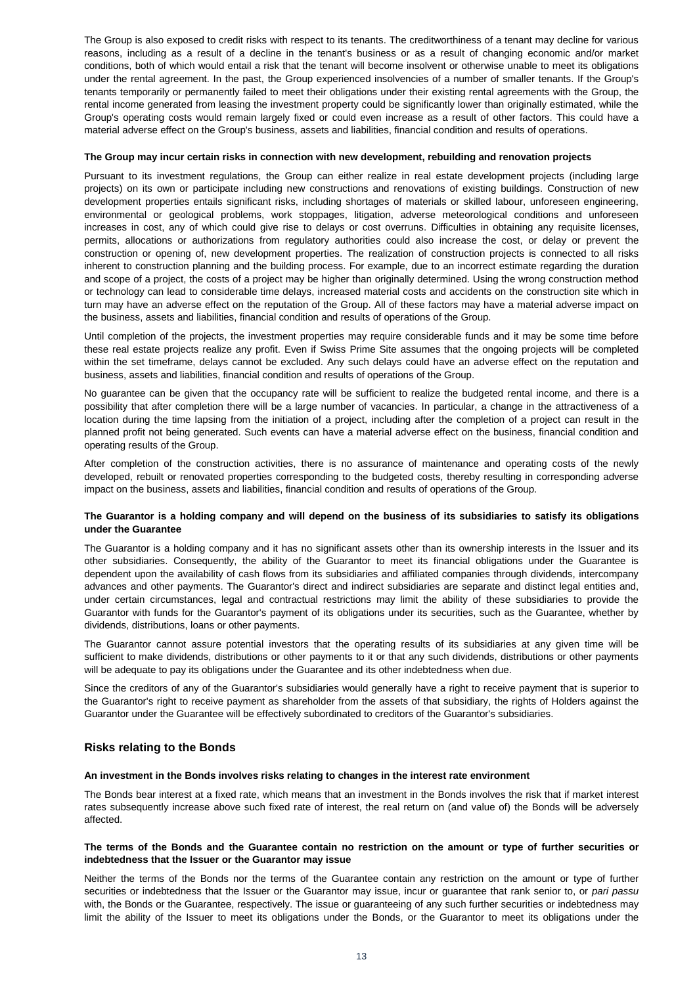The Group is also exposed to credit risks with respect to its tenants. The creditworthiness of a tenant may decline for various reasons, including as a result of a decline in the tenant's business or as a result of changing economic and/or market conditions, both of which would entail a risk that the tenant will become insolvent or otherwise unable to meet its obligations under the rental agreement. In the past, the Group experienced insolvencies of a number of smaller tenants. If the Group's tenants temporarily or permanently failed to meet their obligations under their existing rental agreements with the Group, the rental income generated from leasing the investment property could be significantly lower than originally estimated, while the Group's operating costs would remain largely fixed or could even increase as a result of other factors. This could have a material adverse effect on the Group's business, assets and liabilities, financial condition and results of operations.

#### **The Group may incur certain risks in connection with new development, rebuilding and renovation projects**

Pursuant to its investment regulations, the Group can either realize in real estate development projects (including large projects) on its own or participate including new constructions and renovations of existing buildings. Construction of new development properties entails significant risks, including shortages of materials or skilled labour, unforeseen engineering, environmental or geological problems, work stoppages, litigation, adverse meteorological conditions and unforeseen increases in cost, any of which could give rise to delays or cost overruns. Difficulties in obtaining any requisite licenses, permits, allocations or authorizations from regulatory authorities could also increase the cost, or delay or prevent the construction or opening of, new development properties. The realization of construction projects is connected to all risks inherent to construction planning and the building process. For example, due to an incorrect estimate regarding the duration and scope of a project, the costs of a project may be higher than originally determined. Using the wrong construction method or technology can lead to considerable time delays, increased material costs and accidents on the construction site which in turn may have an adverse effect on the reputation of the Group. All of these factors may have a material adverse impact on the business, assets and liabilities, financial condition and results of operations of the Group.

Until completion of the projects, the investment properties may require considerable funds and it may be some time before these real estate projects realize any profit. Even if Swiss Prime Site assumes that the ongoing projects will be completed within the set timeframe, delays cannot be excluded. Any such delays could have an adverse effect on the reputation and business, assets and liabilities, financial condition and results of operations of the Group.

No guarantee can be given that the occupancy rate will be sufficient to realize the budgeted rental income, and there is a possibility that after completion there will be a large number of vacancies. In particular, a change in the attractiveness of a location during the time lapsing from the initiation of a project, including after the completion of a project can result in the planned profit not being generated. Such events can have a material adverse effect on the business, financial condition and operating results of the Group.

After completion of the construction activities, there is no assurance of maintenance and operating costs of the newly developed, rebuilt or renovated properties corresponding to the budgeted costs, thereby resulting in corresponding adverse impact on the business, assets and liabilities, financial condition and results of operations of the Group.

#### **The Guarantor is a holding company and will depend on the business of its subsidiaries to satisfy its obligations under the Guarantee**

The Guarantor is a holding company and it has no significant assets other than its ownership interests in the Issuer and its other subsidiaries. Consequently, the ability of the Guarantor to meet its financial obligations under the Guarantee is dependent upon the availability of cash flows from its subsidiaries and affiliated companies through dividends, intercompany advances and other payments. The Guarantor's direct and indirect subsidiaries are separate and distinct legal entities and, under certain circumstances, legal and contractual restrictions may limit the ability of these subsidiaries to provide the Guarantor with funds for the Guarantor's payment of its obligations under its securities, such as the Guarantee, whether by dividends, distributions, loans or other payments.

The Guarantor cannot assure potential investors that the operating results of its subsidiaries at any given time will be sufficient to make dividends, distributions or other payments to it or that any such dividends, distributions or other payments will be adequate to pay its obligations under the Guarantee and its other indebtedness when due.

Since the creditors of any of the Guarantor's subsidiaries would generally have a right to receive payment that is superior to the Guarantor's right to receive payment as shareholder from the assets of that subsidiary, the rights of Holders against the Guarantor under the Guarantee will be effectively subordinated to creditors of the Guarantor's subsidiaries.

#### **Risks relating to the Bonds**

#### **An investment in the Bonds involves risks relating to changes in the interest rate environment**

The Bonds bear interest at a fixed rate, which means that an investment in the Bonds involves the risk that if market interest rates subsequently increase above such fixed rate of interest, the real return on (and value of) the Bonds will be adversely affected.

#### **The terms of the Bonds and the Guarantee contain no restriction on the amount or type of further securities or indebtedness that the Issuer or the Guarantor may issue**

Neither the terms of the Bonds nor the terms of the Guarantee contain any restriction on the amount or type of further securities or indebtedness that the Issuer or the Guarantor may issue, incur or guarantee that rank senior to, or *pari passu* with, the Bonds or the Guarantee, respectively. The issue or guaranteeing of any such further securities or indebtedness may limit the ability of the Issuer to meet its obligations under the Bonds, or the Guarantor to meet its obligations under the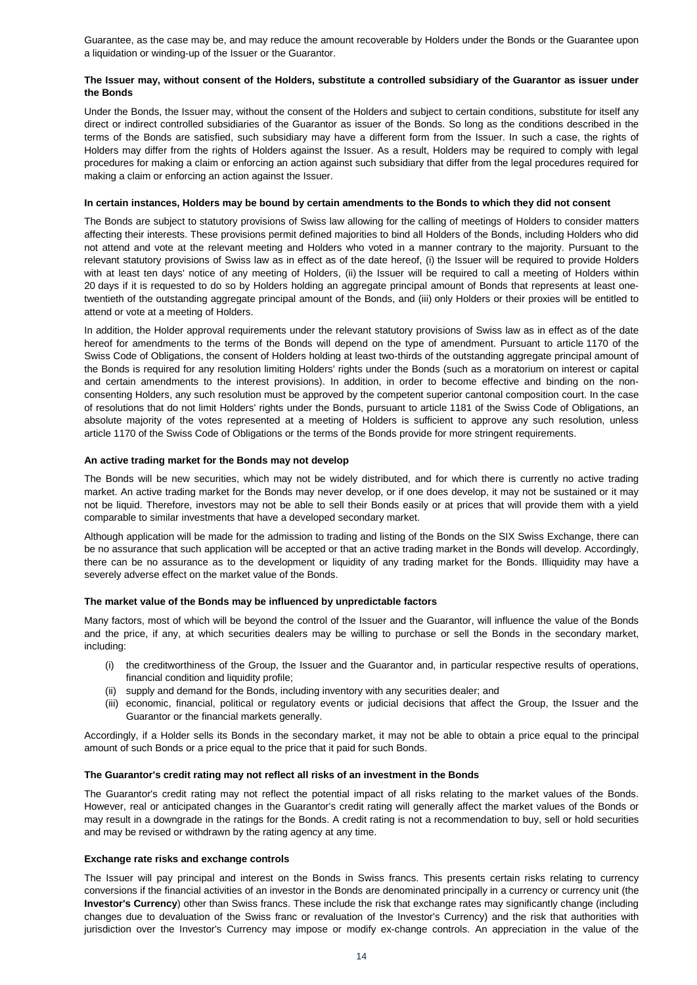Guarantee, as the case may be, and may reduce the amount recoverable by Holders under the Bonds or the Guarantee upon a liquidation or winding-up of the Issuer or the Guarantor.

#### **The Issuer may, without consent of the Holders, substitute a controlled subsidiary of the Guarantor as issuer under the Bonds**

Under the Bonds, the Issuer may, without the consent of the Holders and subject to certain conditions, substitute for itself any direct or indirect controlled subsidiaries of the Guarantor as issuer of the Bonds. So long as the conditions described in the terms of the Bonds are satisfied, such subsidiary may have a different form from the Issuer. In such a case, the rights of Holders may differ from the rights of Holders against the Issuer. As a result, Holders may be required to comply with legal procedures for making a claim or enforcing an action against such subsidiary that differ from the legal procedures required for making a claim or enforcing an action against the Issuer.

#### **In certain instances, Holders may be bound by certain amendments to the Bonds to which they did not consent**

The Bonds are subject to statutory provisions of Swiss law allowing for the calling of meetings of Holders to consider matters affecting their interests. These provisions permit defined majorities to bind all Holders of the Bonds, including Holders who did not attend and vote at the relevant meeting and Holders who voted in a manner contrary to the majority. Pursuant to the relevant statutory provisions of Swiss law as in effect as of the date hereof, (i) the Issuer will be required to provide Holders with at least ten days' notice of any meeting of Holders, (ii) the Issuer will be required to call a meeting of Holders within 20 days if it is requested to do so by Holders holding an aggregate principal amount of Bonds that represents at least onetwentieth of the outstanding aggregate principal amount of the Bonds, and (iii) only Holders or their proxies will be entitled to attend or vote at a meeting of Holders.

In addition, the Holder approval requirements under the relevant statutory provisions of Swiss law as in effect as of the date hereof for amendments to the terms of the Bonds will depend on the type of amendment. Pursuant to article 1170 of the Swiss Code of Obligations, the consent of Holders holding at least two-thirds of the outstanding aggregate principal amount of the Bonds is required for any resolution limiting Holders' rights under the Bonds (such as a moratorium on interest or capital and certain amendments to the interest provisions). In addition, in order to become effective and binding on the nonconsenting Holders, any such resolution must be approved by the competent superior cantonal composition court. In the case of resolutions that do not limit Holders' rights under the Bonds, pursuant to article 1181 of the Swiss Code of Obligations, an absolute majority of the votes represented at a meeting of Holders is sufficient to approve any such resolution, unless article 1170 of the Swiss Code of Obligations or the terms of the Bonds provide for more stringent requirements.

#### **An active trading market for the Bonds may not develop**

The Bonds will be new securities, which may not be widely distributed, and for which there is currently no active trading market. An active trading market for the Bonds may never develop, or if one does develop, it may not be sustained or it may not be liquid. Therefore, investors may not be able to sell their Bonds easily or at prices that will provide them with a yield comparable to similar investments that have a developed secondary market.

Although application will be made for the admission to trading and listing of the Bonds on the SIX Swiss Exchange, there can be no assurance that such application will be accepted or that an active trading market in the Bonds will develop. Accordingly, there can be no assurance as to the development or liquidity of any trading market for the Bonds. Illiquidity may have a severely adverse effect on the market value of the Bonds.

#### **The market value of the Bonds may be influenced by unpredictable factors**

Many factors, most of which will be beyond the control of the Issuer and the Guarantor, will influence the value of the Bonds and the price, if any, at which securities dealers may be willing to purchase or sell the Bonds in the secondary market, including:

- (i) the creditworthiness of the Group, the Issuer and the Guarantor and, in particular respective results of operations, financial condition and liquidity profile;
- (ii) supply and demand for the Bonds, including inventory with any securities dealer; and
- (iii) economic, financial, political or regulatory events or judicial decisions that affect the Group, the Issuer and the Guarantor or the financial markets generally.

Accordingly, if a Holder sells its Bonds in the secondary market, it may not be able to obtain a price equal to the principal amount of such Bonds or a price equal to the price that it paid for such Bonds.

#### **The Guarantor's credit rating may not reflect all risks of an investment in the Bonds**

The Guarantor's credit rating may not reflect the potential impact of all risks relating to the market values of the Bonds. However, real or anticipated changes in the Guarantor's credit rating will generally affect the market values of the Bonds or may result in a downgrade in the ratings for the Bonds. A credit rating is not a recommendation to buy, sell or hold securities and may be revised or withdrawn by the rating agency at any time.

#### **Exchange rate risks and exchange controls**

The Issuer will pay principal and interest on the Bonds in Swiss francs. This presents certain risks relating to currency conversions if the financial activities of an investor in the Bonds are denominated principally in a currency or currency unit (the **Investor's Currency**) other than Swiss francs. These include the risk that exchange rates may significantly change (including changes due to devaluation of the Swiss franc or revaluation of the Investor's Currency) and the risk that authorities with jurisdiction over the Investor's Currency may impose or modify ex-change controls. An appreciation in the value of the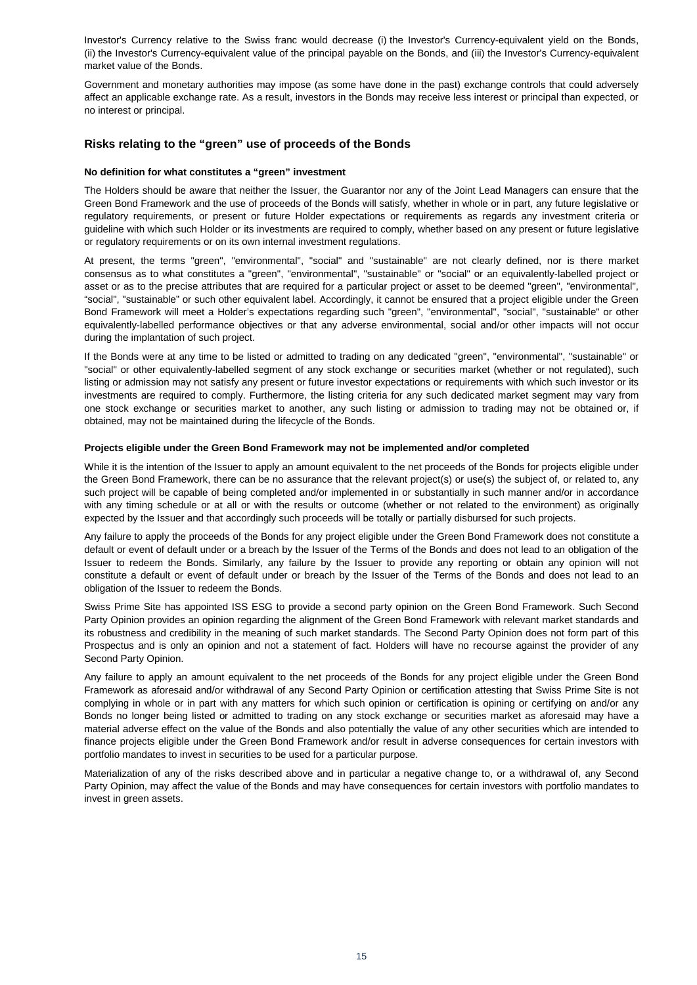Investor's Currency relative to the Swiss franc would decrease (i) the Investor's Currency-equivalent yield on the Bonds, (ii) the Investor's Currency-equivalent value of the principal payable on the Bonds, and (iii) the Investor's Currency-equivalent market value of the Bonds.

Government and monetary authorities may impose (as some have done in the past) exchange controls that could adversely affect an applicable exchange rate. As a result, investors in the Bonds may receive less interest or principal than expected, or no interest or principal.

## **Risks relating to the "green" use of proceeds of the Bonds**

#### **No definition for what constitutes a "green" investment**

The Holders should be aware that neither the Issuer, the Guarantor nor any of the Joint Lead Managers can ensure that the Green Bond Framework and the use of proceeds of the Bonds will satisfy, whether in whole or in part, any future legislative or regulatory requirements, or present or future Holder expectations or requirements as regards any investment criteria or guideline with which such Holder or its investments are required to comply, whether based on any present or future legislative or regulatory requirements or on its own internal investment regulations.

At present, the terms "green", "environmental", "social" and "sustainable" are not clearly defined, nor is there market consensus as to what constitutes a "green", "environmental", "sustainable" or "social" or an equivalently-labelled project or asset or as to the precise attributes that are required for a particular project or asset to be deemed "green", "environmental", "social", "sustainable" or such other equivalent label. Accordingly, it cannot be ensured that a project eligible under the Green Bond Framework will meet a Holder's expectations regarding such "green", "environmental", "social", "sustainable" or other equivalently-labelled performance objectives or that any adverse environmental, social and/or other impacts will not occur during the implantation of such project.

If the Bonds were at any time to be listed or admitted to trading on any dedicated "green", "environmental", "sustainable" or "social" or other equivalently-labelled segment of any stock exchange or securities market (whether or not regulated), such listing or admission may not satisfy any present or future investor expectations or requirements with which such investor or its investments are required to comply. Furthermore, the listing criteria for any such dedicated market segment may vary from one stock exchange or securities market to another, any such listing or admission to trading may not be obtained or, if obtained, may not be maintained during the lifecycle of the Bonds.

#### **Projects eligible under the Green Bond Framework may not be implemented and/or completed**

While it is the intention of the Issuer to apply an amount equivalent to the net proceeds of the Bonds for projects eligible under the Green Bond Framework, there can be no assurance that the relevant project(s) or use(s) the subject of, or related to, any such project will be capable of being completed and/or implemented in or substantially in such manner and/or in accordance with any timing schedule or at all or with the results or outcome (whether or not related to the environment) as originally expected by the Issuer and that accordingly such proceeds will be totally or partially disbursed for such projects.

Any failure to apply the proceeds of the Bonds for any project eligible under the Green Bond Framework does not constitute a default or event of default under or a breach by the Issuer of the Terms of the Bonds and does not lead to an obligation of the Issuer to redeem the Bonds. Similarly, any failure by the Issuer to provide any reporting or obtain any opinion will not constitute a default or event of default under or breach by the Issuer of the Terms of the Bonds and does not lead to an obligation of the Issuer to redeem the Bonds.

Swiss Prime Site has appointed ISS ESG to provide a second party opinion on the Green Bond Framework. Such Second Party Opinion provides an opinion regarding the alignment of the Green Bond Framework with relevant market standards and its robustness and credibility in the meaning of such market standards. The Second Party Opinion does not form part of this Prospectus and is only an opinion and not a statement of fact. Holders will have no recourse against the provider of any Second Party Opinion.

Any failure to apply an amount equivalent to the net proceeds of the Bonds for any project eligible under the Green Bond Framework as aforesaid and/or withdrawal of any Second Party Opinion or certification attesting that Swiss Prime Site is not complying in whole or in part with any matters for which such opinion or certification is opining or certifying on and/or any Bonds no longer being listed or admitted to trading on any stock exchange or securities market as aforesaid may have a material adverse effect on the value of the Bonds and also potentially the value of any other securities which are intended to finance projects eligible under the Green Bond Framework and/or result in adverse consequences for certain investors with portfolio mandates to invest in securities to be used for a particular purpose.

Materialization of any of the risks described above and in particular a negative change to, or a withdrawal of, any Second Party Opinion, may affect the value of the Bonds and may have consequences for certain investors with portfolio mandates to invest in green assets.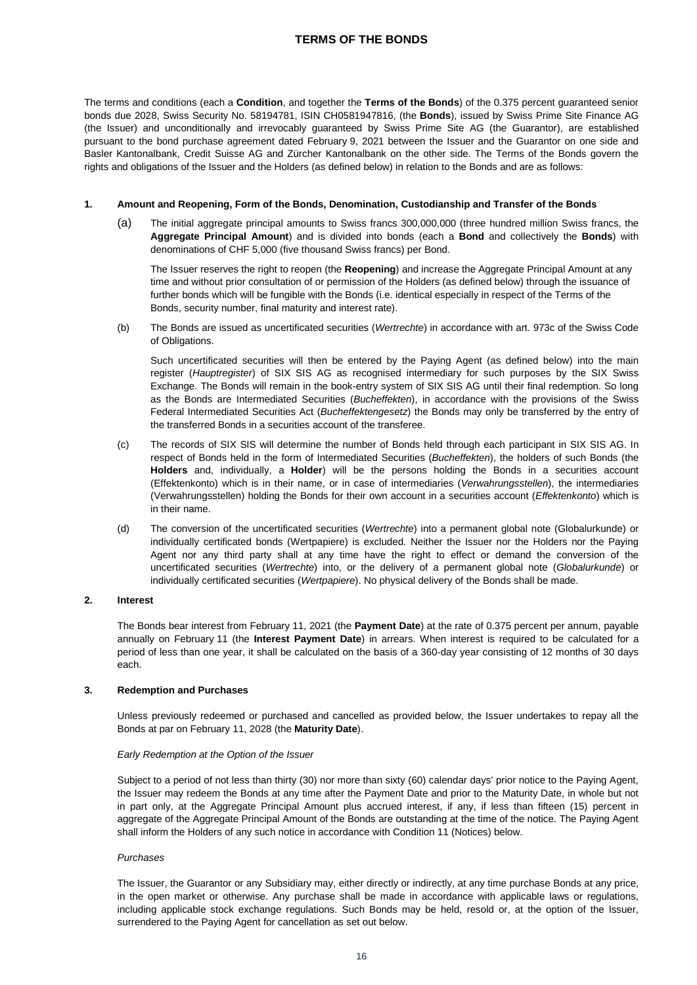## **TERMS OF THE BONDS**

<span id="page-15-0"></span>The terms and conditions (each a **Condition**, and together the **Terms of the Bonds**) of the 0.375 percent guaranteed senior bonds due 2028, Swiss Security No. 58194781, ISIN CH0581947816, (the **Bonds**), issued by Swiss Prime Site Finance AG (the Issuer) and unconditionally and irrevocably guaranteed by Swiss Prime Site AG (the Guarantor), are established pursuant to the bond purchase agreement dated February 9, 2021 between the Issuer and the Guarantor on one side and Basler Kantonalbank, Credit Suisse AG and Zürcher Kantonalbank on the other side. The Terms of the Bonds govern the rights and obligations of the Issuer and the Holders (as defined below) in relation to the Bonds and are as follows:

#### **1. Amount and Reopening, Form of the Bonds, Denomination, Custodianship and Transfer of the Bonds**

(a) The initial aggregate principal amounts to Swiss francs 300,000,000 (three hundred million Swiss francs, the **Aggregate Principal Amount**) and is divided into bonds (each a **Bond** and collectively the **Bonds**) with denominations of CHF 5,000 (five thousand Swiss francs) per Bond.

The Issuer reserves the right to reopen (the **Reopening**) and increase the Aggregate Principal Amount at any time and without prior consultation of or permission of the Holders (as defined below) through the issuance of further bonds which will be fungible with the Bonds (i.e. identical especially in respect of the Terms of the Bonds, security number, final maturity and interest rate).

(b) The Bonds are issued as uncertificated securities (*Wertrechte*) in accordance with art. 973c of the Swiss Code of Obligations.

Such uncertificated securities will then be entered by the Paying Agent (as defined below) into the main register (*Hauptregister*) of SIX SIS AG as recognised intermediary for such purposes by the SIX Swiss Exchange. The Bonds will remain in the book-entry system of SIX SIS AG until their final redemption. So long as the Bonds are Intermediated Securities (*Bucheffekten*), in accordance with the provisions of the Swiss Federal Intermediated Securities Act (*Bucheffektengesetz*) the Bonds may only be transferred by the entry of the transferred Bonds in a securities account of the transferee.

- (c) The records of SIX SIS will determine the number of Bonds held through each participant in SIX SIS AG. In respect of Bonds held in the form of Intermediated Securities (*Bucheffekten*), the holders of such Bonds (the **Holders** and, individually, a **Holder**) will be the persons holding the Bonds in a securities account (Effektenkonto) which is in their name, or in case of intermediaries (*Verwahrungsstellen*), the intermediaries (Verwahrungsstellen) holding the Bonds for their own account in a securities account (*Effektenkonto*) which is in their name.
- (d) The conversion of the uncertificated securities (*Wertrechte*) into a permanent global note (Globalurkunde) or individually certificated bonds (Wertpapiere) is excluded. Neither the Issuer nor the Holders nor the Paying Agent nor any third party shall at any time have the right to effect or demand the conversion of the uncertificated securities (*Wertrechte*) into, or the delivery of a permanent global note (*Globalurkunde*) or individually certificated securities (*Wertpapiere*). No physical delivery of the Bonds shall be made.

#### **2. Interest**

The Bonds bear interest from February 11, 2021 (the **Payment Date**) at the rate of 0.375 percent per annum, payable annually on February 11 (the **Interest Payment Date**) in arrears. When interest is required to be calculated for a period of less than one year, it shall be calculated on the basis of a 360-day year consisting of 12 months of 30 days each.

## **3. Redemption and Purchases**

Unless previously redeemed or purchased and cancelled as provided below, the Issuer undertakes to repay all the Bonds at par on February 11, 2028 (the **Maturity Date**).

#### *Early Redemption at the Option of the Issuer*

Subject to a period of not less than thirty (30) nor more than sixty (60) calendar days' prior notice to the Paying Agent, the Issuer may redeem the Bonds at any time after the Payment Date and prior to the Maturity Date, in whole but not in part only, at the Aggregate Principal Amount plus accrued interest, if any, if less than fifteen (15) percent in aggregate of the Aggregate Principal Amount of the Bonds are outstanding at the time of the notice. The Paying Agent shall inform the Holders of any such notice in accordance with Condition 11 (Notices) below.

#### *Purchases*

The Issuer, the Guarantor or any Subsidiary may, either directly or indirectly, at any time purchase Bonds at any price, in the open market or otherwise. Any purchase shall be made in accordance with applicable laws or regulations, including applicable stock exchange regulations. Such Bonds may be held, resold or, at the option of the Issuer, surrendered to the Paying Agent for cancellation as set out below.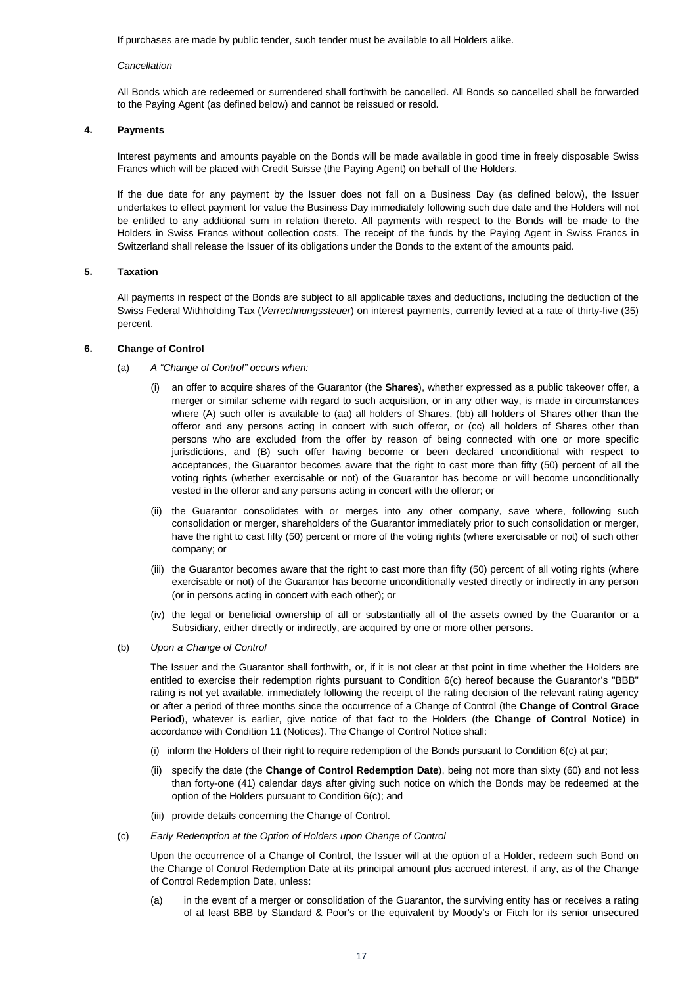If purchases are made by public tender, such tender must be available to all Holders alike.

#### *Cancellation*

All Bonds which are redeemed or surrendered shall forthwith be cancelled. All Bonds so cancelled shall be forwarded to the Paying Agent (as defined below) and cannot be reissued or resold.

#### **4. Payments**

Interest payments and amounts payable on the Bonds will be made available in good time in freely disposable Swiss Francs which will be placed with Credit Suisse (the Paying Agent) on behalf of the Holders.

If the due date for any payment by the Issuer does not fall on a Business Day (as defined below), the Issuer undertakes to effect payment for value the Business Day immediately following such due date and the Holders will not be entitled to any additional sum in relation thereto. All payments with respect to the Bonds will be made to the Holders in Swiss Francs without collection costs. The receipt of the funds by the Paying Agent in Swiss Francs in Switzerland shall release the Issuer of its obligations under the Bonds to the extent of the amounts paid.

#### **5. Taxation**

All payments in respect of the Bonds are subject to all applicable taxes and deductions, including the deduction of the Swiss Federal Withholding Tax (*Verrechnungssteuer*) on interest payments, currently levied at a rate of thirty-five (35) percent.

#### **6. Change of Control**

- (a) *A "Change of Control" occurs when:*
	- (i) an offer to acquire shares of the Guarantor (the **Shares**), whether expressed as a public takeover offer, a merger or similar scheme with regard to such acquisition, or in any other way, is made in circumstances where (A) such offer is available to (aa) all holders of Shares, (bb) all holders of Shares other than the offeror and any persons acting in concert with such offeror, or (cc) all holders of Shares other than persons who are excluded from the offer by reason of being connected with one or more specific jurisdictions, and (B) such offer having become or been declared unconditional with respect to acceptances, the Guarantor becomes aware that the right to cast more than fifty (50) percent of all the voting rights (whether exercisable or not) of the Guarantor has become or will become unconditionally vested in the offeror and any persons acting in concert with the offeror; or
	- (ii) the Guarantor consolidates with or merges into any other company, save where, following such consolidation or merger, shareholders of the Guarantor immediately prior to such consolidation or merger, have the right to cast fifty (50) percent or more of the voting rights (where exercisable or not) of such other company; or
	- (iii) the Guarantor becomes aware that the right to cast more than fifty (50) percent of all voting rights (where exercisable or not) of the Guarantor has become unconditionally vested directly or indirectly in any person (or in persons acting in concert with each other); or
	- (iv) the legal or beneficial ownership of all or substantially all of the assets owned by the Guarantor or a Subsidiary, either directly or indirectly, are acquired by one or more other persons.
- (b) *Upon a Change of Control*

The Issuer and the Guarantor shall forthwith, or, if it is not clear at that point in time whether the Holders are entitled to exercise their redemption rights pursuant to Condition 6(c) hereof because the Guarantor's "BBB" rating is not yet available, immediately following the receipt of the rating decision of the relevant rating agency or after a period of three months since the occurrence of a Change of Control (the **Change of Control Grace Period**), whatever is earlier, give notice of that fact to the Holders (the **Change of Control Notice**) in accordance with Condition 11 (Notices). The Change of Control Notice shall:

- (i) inform the Holders of their right to require redemption of the Bonds pursuant to Condition 6(c) at par;
- (ii) specify the date (the **Change of Control Redemption Date**), being not more than sixty (60) and not less than forty-one (41) calendar days after giving such notice on which the Bonds may be redeemed at the option of the Holders pursuant to Condition 6(c); and
- (iii) provide details concerning the Change of Control.
- (c) *Early Redemption at the Option of Holders upon Change of Control*

Upon the occurrence of a Change of Control, the Issuer will at the option of a Holder, redeem such Bond on the Change of Control Redemption Date at its principal amount plus accrued interest, if any, as of the Change of Control Redemption Date, unless:

(a) in the event of a merger or consolidation of the Guarantor, the surviving entity has or receives a rating of at least BBB by Standard & Poor's or the equivalent by Moody's or Fitch for its senior unsecured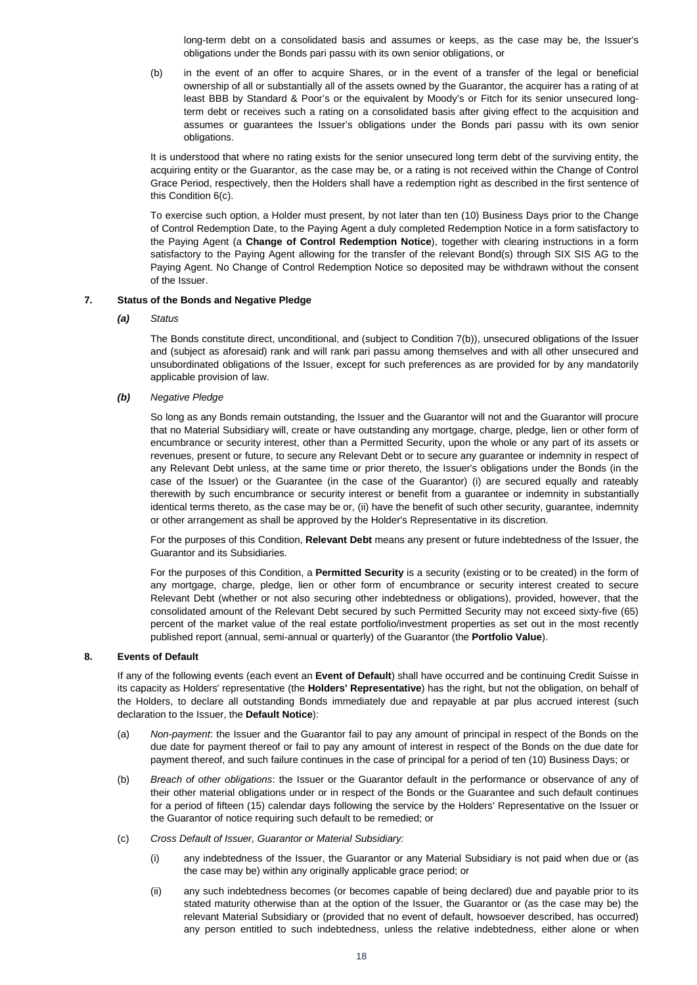long-term debt on a consolidated basis and assumes or keeps, as the case may be, the Issuer's obligations under the Bonds pari passu with its own senior obligations, or

(b) in the event of an offer to acquire Shares, or in the event of a transfer of the legal or beneficial ownership of all or substantially all of the assets owned by the Guarantor, the acquirer has a rating of at least BBB by Standard & Poor's or the equivalent by Moody's or Fitch for its senior unsecured longterm debt or receives such a rating on a consolidated basis after giving effect to the acquisition and assumes or guarantees the Issuer's obligations under the Bonds pari passu with its own senior obligations.

It is understood that where no rating exists for the senior unsecured long term debt of the surviving entity, the acquiring entity or the Guarantor, as the case may be, or a rating is not received within the Change of Control Grace Period, respectively, then the Holders shall have a redemption right as described in the first sentence of this Condition 6(c).

To exercise such option, a Holder must present, by not later than ten (10) Business Days prior to the Change of Control Redemption Date, to the Paying Agent a duly completed Redemption Notice in a form satisfactory to the Paying Agent (a **Change of Control Redemption Notice**), together with clearing instructions in a form satisfactory to the Paying Agent allowing for the transfer of the relevant Bond(s) through SIX SIS AG to the Paying Agent. No Change of Control Redemption Notice so deposited may be withdrawn without the consent of the Issuer.

## **7. Status of the Bonds and Negative Pledge**

#### *(a) Status*

The Bonds constitute direct, unconditional, and (subject to Condition 7(b)), unsecured obligations of the Issuer and (subject as aforesaid) rank and will rank pari passu among themselves and with all other unsecured and unsubordinated obligations of the Issuer, except for such preferences as are provided for by any mandatorily applicable provision of law.

#### *(b) Negative Pledge*

So long as any Bonds remain outstanding, the Issuer and the Guarantor will not and the Guarantor will procure that no Material Subsidiary will, create or have outstanding any mortgage, charge, pledge, lien or other form of encumbrance or security interest, other than a Permitted Security, upon the whole or any part of its assets or revenues, present or future, to secure any Relevant Debt or to secure any guarantee or indemnity in respect of any Relevant Debt unless, at the same time or prior thereto, the Issuer's obligations under the Bonds (in the case of the Issuer) or the Guarantee (in the case of the Guarantor) (i) are secured equally and rateably therewith by such encumbrance or security interest or benefit from a guarantee or indemnity in substantially identical terms thereto, as the case may be or, (ii) have the benefit of such other security, guarantee, indemnity or other arrangement as shall be approved by the Holder's Representative in its discretion.

For the purposes of this Condition, **Relevant Debt** means any present or future indebtedness of the Issuer, the Guarantor and its Subsidiaries.

For the purposes of this Condition, a **Permitted Security** is a security (existing or to be created) in the form of any mortgage, charge, pledge, lien or other form of encumbrance or security interest created to secure Relevant Debt (whether or not also securing other indebtedness or obligations), provided, however, that the consolidated amount of the Relevant Debt secured by such Permitted Security may not exceed sixty-five (65) percent of the market value of the real estate portfolio/investment properties as set out in the most recently published report (annual, semi-annual or quarterly) of the Guarantor (the **Portfolio Value**).

#### **8. Events of Default**

If any of the following events (each event an **Event of Default**) shall have occurred and be continuing Credit Suisse in its capacity as Holders' representative (the **Holders' Representative**) has the right, but not the obligation, on behalf of the Holders, to declare all outstanding Bonds immediately due and repayable at par plus accrued interest (such declaration to the Issuer, the **Default Notice**):

- (a) *Non-payment*: the Issuer and the Guarantor fail to pay any amount of principal in respect of the Bonds on the due date for payment thereof or fail to pay any amount of interest in respect of the Bonds on the due date for payment thereof, and such failure continues in the case of principal for a period of ten (10) Business Days; or
- (b) *Breach of other obligations*: the Issuer or the Guarantor default in the performance or observance of any of their other material obligations under or in respect of the Bonds or the Guarantee and such default continues for a period of fifteen (15) calendar days following the service by the Holders' Representative on the Issuer or the Guarantor of notice requiring such default to be remedied; or
- (c) *Cross Default of Issuer, Guarantor or Material Subsidiary:*
	- (i) any indebtedness of the Issuer, the Guarantor or any Material Subsidiary is not paid when due or (as the case may be) within any originally applicable grace period; or
	- (ii) any such indebtedness becomes (or becomes capable of being declared) due and payable prior to its stated maturity otherwise than at the option of the Issuer, the Guarantor or (as the case may be) the relevant Material Subsidiary or (provided that no event of default, howsoever described, has occurred) any person entitled to such indebtedness, unless the relative indebtedness, either alone or when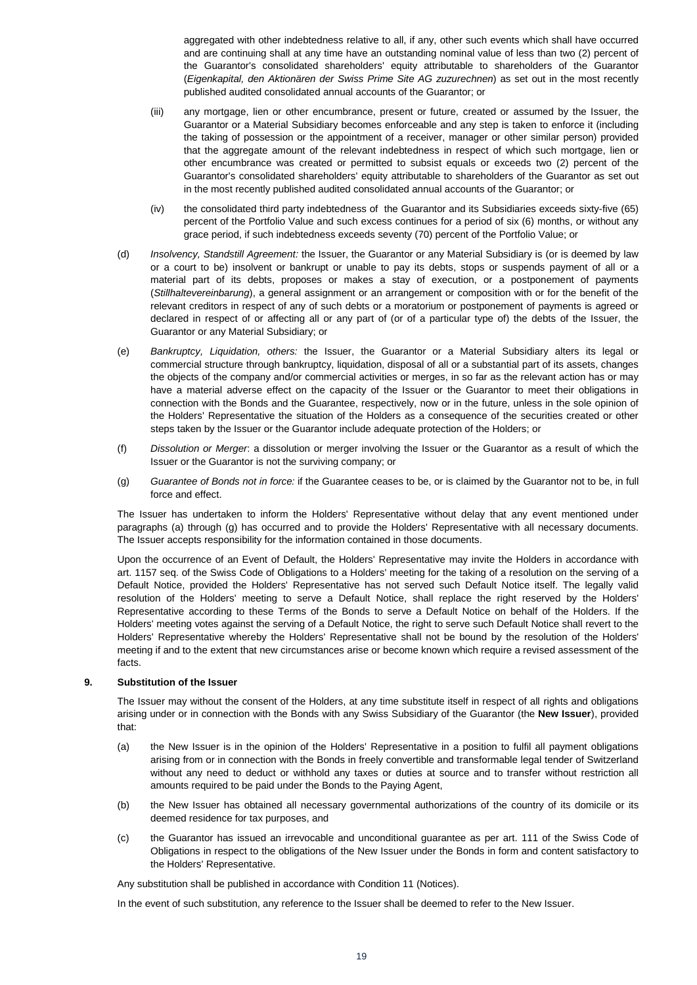aggregated with other indebtedness relative to all, if any, other such events which shall have occurred and are continuing shall at any time have an outstanding nominal value of less than two (2) percent of the Guarantor's consolidated shareholders' equity attributable to shareholders of the Guarantor (*Eigenkapital, den Aktionären der Swiss Prime Site AG zuzurechnen*) as set out in the most recently published audited consolidated annual accounts of the Guarantor; or

- (iii) any mortgage, lien or other encumbrance, present or future, created or assumed by the Issuer, the Guarantor or a Material Subsidiary becomes enforceable and any step is taken to enforce it (including the taking of possession or the appointment of a receiver, manager or other similar person) provided that the aggregate amount of the relevant indebtedness in respect of which such mortgage, lien or other encumbrance was created or permitted to subsist equals or exceeds two (2) percent of the Guarantor's consolidated shareholders' equity attributable to shareholders of the Guarantor as set out in the most recently published audited consolidated annual accounts of the Guarantor; or
- (iv) the consolidated third party indebtedness of the Guarantor and its Subsidiaries exceeds sixty-five (65) percent of the Portfolio Value and such excess continues for a period of six (6) months, or without any grace period, if such indebtedness exceeds seventy (70) percent of the Portfolio Value; or
- (d) *Insolvency, Standstill Agreement:* the Issuer, the Guarantor or any Material Subsidiary is (or is deemed by law or a court to be) insolvent or bankrupt or unable to pay its debts, stops or suspends payment of all or a material part of its debts, proposes or makes a stay of execution, or a postponement of payments (*Stillhaltevereinbarung*), a general assignment or an arrangement or composition with or for the benefit of the relevant creditors in respect of any of such debts or a moratorium or postponement of payments is agreed or declared in respect of or affecting all or any part of (or of a particular type of) the debts of the Issuer, the Guarantor or any Material Subsidiary; or
- (e) *Bankruptcy, Liquidation, others:* the Issuer, the Guarantor or a Material Subsidiary alters its legal or commercial structure through bankruptcy, liquidation, disposal of all or a substantial part of its assets, changes the objects of the company and/or commercial activities or merges, in so far as the relevant action has or may have a material adverse effect on the capacity of the Issuer or the Guarantor to meet their obligations in connection with the Bonds and the Guarantee, respectively, now or in the future, unless in the sole opinion of the Holders' Representative the situation of the Holders as a consequence of the securities created or other steps taken by the Issuer or the Guarantor include adequate protection of the Holders; or
- (f) *Dissolution or Merger*: a dissolution or merger involving the Issuer or the Guarantor as a result of which the Issuer or the Guarantor is not the surviving company; or
- (g) *Guarantee of Bonds not in force:* if the Guarantee ceases to be, or is claimed by the Guarantor not to be, in full force and effect.

The Issuer has undertaken to inform the Holders' Representative without delay that any event mentioned under paragraphs (a) through (g) has occurred and to provide the Holders' Representative with all necessary documents. The Issuer accepts responsibility for the information contained in those documents.

Upon the occurrence of an Event of Default, the Holders' Representative may invite the Holders in accordance with art. 1157 seq. of the Swiss Code of Obligations to a Holders' meeting for the taking of a resolution on the serving of a Default Notice, provided the Holders' Representative has not served such Default Notice itself. The legally valid resolution of the Holders' meeting to serve a Default Notice, shall replace the right reserved by the Holders' Representative according to these Terms of the Bonds to serve a Default Notice on behalf of the Holders. If the Holders' meeting votes against the serving of a Default Notice, the right to serve such Default Notice shall revert to the Holders' Representative whereby the Holders' Representative shall not be bound by the resolution of the Holders' meeting if and to the extent that new circumstances arise or become known which require a revised assessment of the facts.

#### **9. Substitution of the Issuer**

The Issuer may without the consent of the Holders, at any time substitute itself in respect of all rights and obligations arising under or in connection with the Bonds with any Swiss Subsidiary of the Guarantor (the **New Issuer**), provided that:

- (a) the New Issuer is in the opinion of the Holders' Representative in a position to fulfil all payment obligations arising from or in connection with the Bonds in freely convertible and transformable legal tender of Switzerland without any need to deduct or withhold any taxes or duties at source and to transfer without restriction all amounts required to be paid under the Bonds to the Paying Agent,
- (b) the New Issuer has obtained all necessary governmental authorizations of the country of its domicile or its deemed residence for tax purposes, and
- (c) the Guarantor has issued an irrevocable and unconditional guarantee as per art. 111 of the Swiss Code of Obligations in respect to the obligations of the New Issuer under the Bonds in form and content satisfactory to the Holders' Representative.

Any substitution shall be published in accordance with Condition 11 (Notices).

In the event of such substitution, any reference to the Issuer shall be deemed to refer to the New Issuer.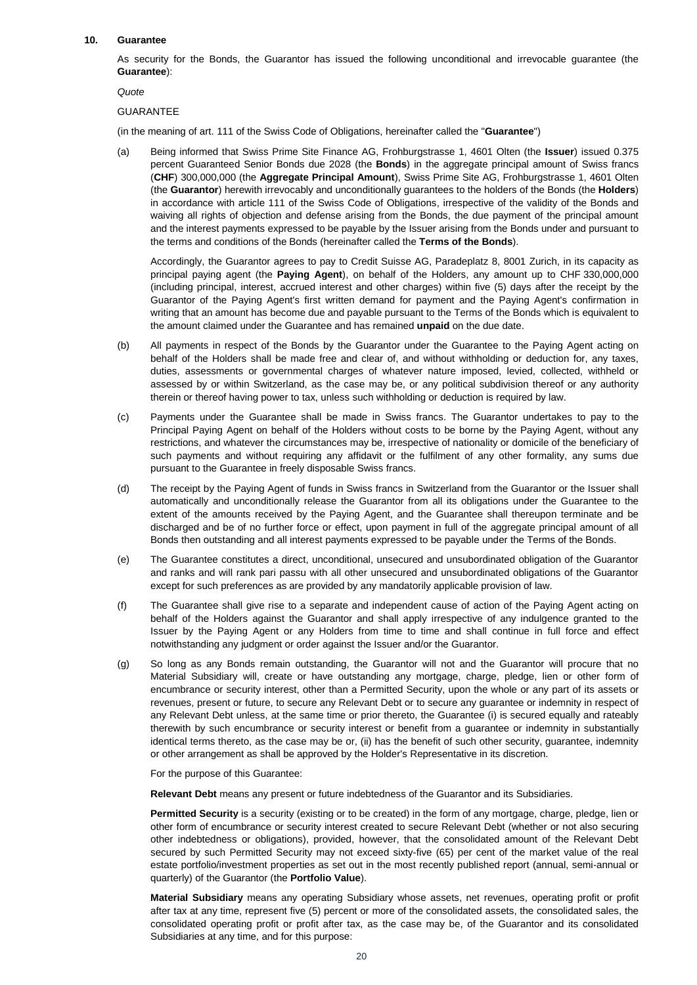#### **10. Guarantee**

As security for the Bonds, the Guarantor has issued the following unconditional and irrevocable guarantee (the **Guarantee**):

*Quote*

#### GUARANTEE

(in the meaning of art. 111 of the Swiss Code of Obligations, hereinafter called the "**Guarantee**")

(a) Being informed that Swiss Prime Site Finance AG, Frohburgstrasse 1, 4601 Olten (the **Issuer**) issued 0.375 percent Guaranteed Senior Bonds due 2028 (the **Bonds**) in the aggregate principal amount of Swiss francs (**CHF**) 300,000,000 (the **Aggregate Principal Amount**), Swiss Prime Site AG, Frohburgstrasse 1, 4601 Olten (the **Guarantor**) herewith irrevocably and unconditionally guarantees to the holders of the Bonds (the **Holders**) in accordance with article 111 of the Swiss Code of Obligations, irrespective of the validity of the Bonds and waiving all rights of objection and defense arising from the Bonds, the due payment of the principal amount and the interest payments expressed to be payable by the Issuer arising from the Bonds under and pursuant to the terms and conditions of the Bonds (hereinafter called the **Terms of the Bonds**).

Accordingly, the Guarantor agrees to pay to Credit Suisse AG, Paradeplatz 8, 8001 Zurich, in its capacity as principal paying agent (the **Paying Agent**), on behalf of the Holders, any amount up to CHF 330,000,000 (including principal, interest, accrued interest and other charges) within five (5) days after the receipt by the Guarantor of the Paying Agent's first written demand for payment and the Paying Agent's confirmation in writing that an amount has become due and payable pursuant to the Terms of the Bonds which is equivalent to the amount claimed under the Guarantee and has remained **unpaid** on the due date.

- (b) All payments in respect of the Bonds by the Guarantor under the Guarantee to the Paying Agent acting on behalf of the Holders shall be made free and clear of, and without withholding or deduction for, any taxes, duties, assessments or governmental charges of whatever nature imposed, levied, collected, withheld or assessed by or within Switzerland, as the case may be, or any political subdivision thereof or any authority therein or thereof having power to tax, unless such withholding or deduction is required by law.
- (c) Payments under the Guarantee shall be made in Swiss francs. The Guarantor undertakes to pay to the Principal Paying Agent on behalf of the Holders without costs to be borne by the Paying Agent, without any restrictions, and whatever the circumstances may be, irrespective of nationality or domicile of the beneficiary of such payments and without requiring any affidavit or the fulfilment of any other formality, any sums due pursuant to the Guarantee in freely disposable Swiss francs.
- (d) The receipt by the Paying Agent of funds in Swiss francs in Switzerland from the Guarantor or the Issuer shall automatically and unconditionally release the Guarantor from all its obligations under the Guarantee to the extent of the amounts received by the Paying Agent, and the Guarantee shall thereupon terminate and be discharged and be of no further force or effect, upon payment in full of the aggregate principal amount of all Bonds then outstanding and all interest payments expressed to be payable under the Terms of the Bonds.
- (e) The Guarantee constitutes a direct, unconditional, unsecured and unsubordinated obligation of the Guarantor and ranks and will rank pari passu with all other unsecured and unsubordinated obligations of the Guarantor except for such preferences as are provided by any mandatorily applicable provision of law.
- (f) The Guarantee shall give rise to a separate and independent cause of action of the Paying Agent acting on behalf of the Holders against the Guarantor and shall apply irrespective of any indulgence granted to the Issuer by the Paying Agent or any Holders from time to time and shall continue in full force and effect notwithstanding any judgment or order against the Issuer and/or the Guarantor.
- (g) So long as any Bonds remain outstanding, the Guarantor will not and the Guarantor will procure that no Material Subsidiary will, create or have outstanding any mortgage, charge, pledge, lien or other form of encumbrance or security interest, other than a Permitted Security, upon the whole or any part of its assets or revenues, present or future, to secure any Relevant Debt or to secure any guarantee or indemnity in respect of any Relevant Debt unless, at the same time or prior thereto, the Guarantee (i) is secured equally and rateably therewith by such encumbrance or security interest or benefit from a guarantee or indemnity in substantially identical terms thereto, as the case may be or, (ii) has the benefit of such other security, guarantee, indemnity or other arrangement as shall be approved by the Holder's Representative in its discretion.

For the purpose of this Guarantee:

**Relevant Debt** means any present or future indebtedness of the Guarantor and its Subsidiaries.

**Permitted Security** is a security (existing or to be created) in the form of any mortgage, charge, pledge, lien or other form of encumbrance or security interest created to secure Relevant Debt (whether or not also securing other indebtedness or obligations), provided, however, that the consolidated amount of the Relevant Debt secured by such Permitted Security may not exceed sixty-five (65) per cent of the market value of the real estate portfolio/investment properties as set out in the most recently published report (annual, semi-annual or quarterly) of the Guarantor (the **Portfolio Value**).

**Material Subsidiary** means any operating Subsidiary whose assets, net revenues, operating profit or profit after tax at any time, represent five (5) percent or more of the consolidated assets, the consolidated sales, the consolidated operating profit or profit after tax, as the case may be, of the Guarantor and its consolidated Subsidiaries at any time, and for this purpose: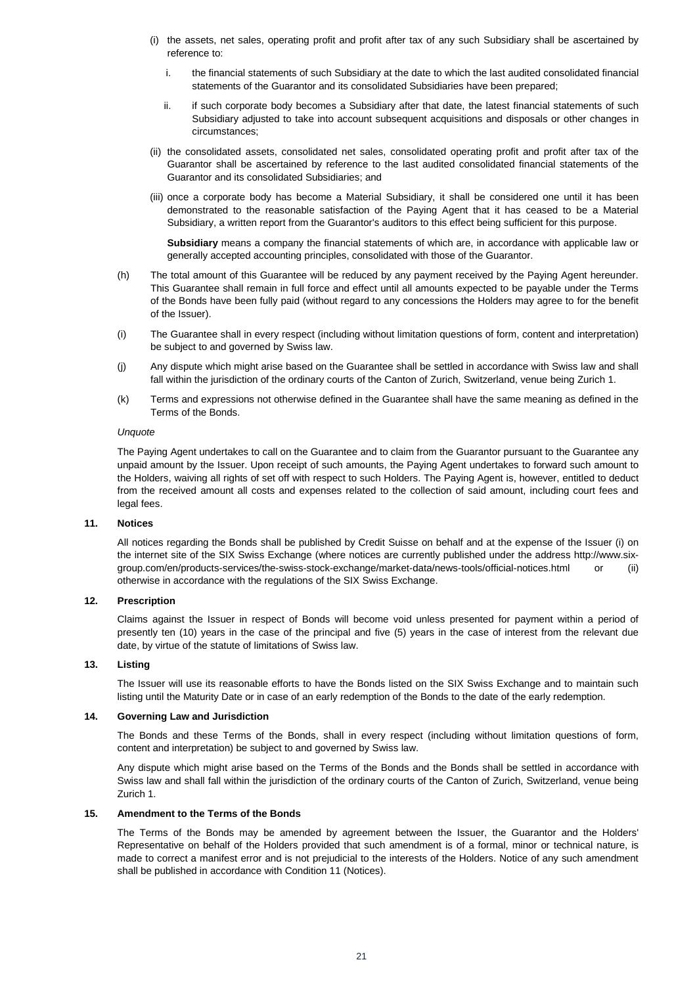- (i) the assets, net sales, operating profit and profit after tax of any such Subsidiary shall be ascertained by reference to:
	- i. the financial statements of such Subsidiary at the date to which the last audited consolidated financial statements of the Guarantor and its consolidated Subsidiaries have been prepared;
	- ii. if such corporate body becomes a Subsidiary after that date, the latest financial statements of such Subsidiary adjusted to take into account subsequent acquisitions and disposals or other changes in circumstances;
- (ii) the consolidated assets, consolidated net sales, consolidated operating profit and profit after tax of the Guarantor shall be ascertained by reference to the last audited consolidated financial statements of the Guarantor and its consolidated Subsidiaries; and
- (iii) once a corporate body has become a Material Subsidiary, it shall be considered one until it has been demonstrated to the reasonable satisfaction of the Paying Agent that it has ceased to be a Material Subsidiary, a written report from the Guarantor's auditors to this effect being sufficient for this purpose.

**Subsidiary** means a company the financial statements of which are, in accordance with applicable law or generally accepted accounting principles, consolidated with those of the Guarantor.

- (h) The total amount of this Guarantee will be reduced by any payment received by the Paying Agent hereunder. This Guarantee shall remain in full force and effect until all amounts expected to be payable under the Terms of the Bonds have been fully paid (without regard to any concessions the Holders may agree to for the benefit of the Issuer).
- (i) The Guarantee shall in every respect (including without limitation questions of form, content and interpretation) be subject to and governed by Swiss law.
- (j) Any dispute which might arise based on the Guarantee shall be settled in accordance with Swiss law and shall fall within the jurisdiction of the ordinary courts of the Canton of Zurich, Switzerland, venue being Zurich 1.
- (k) Terms and expressions not otherwise defined in the Guarantee shall have the same meaning as defined in the Terms of the Bonds.

#### *Unquote*

The Paying Agent undertakes to call on the Guarantee and to claim from the Guarantor pursuant to the Guarantee any unpaid amount by the Issuer. Upon receipt of such amounts, the Paying Agent undertakes to forward such amount to the Holders, waiving all rights of set off with respect to such Holders. The Paying Agent is, however, entitled to deduct from the received amount all costs and expenses related to the collection of said amount, including court fees and legal fees.

#### **11. Notices**

All notices regarding the Bonds shall be published by Credit Suisse on behalf and at the expense of the Issuer (i) on the internet site of the SIX Swiss Exchange (where notices are currently published under the address http://www.sixgroup.com/en/products-services/the-swiss-stock-exchange/market-data/news-tools/official-notices.html or (ii) otherwise in accordance with the regulations of the SIX Swiss Exchange.

#### **12. Prescription**

Claims against the Issuer in respect of Bonds will become void unless presented for payment within a period of presently ten (10) years in the case of the principal and five (5) years in the case of interest from the relevant due date, by virtue of the statute of limitations of Swiss law.

#### **13. Listing**

The Issuer will use its reasonable efforts to have the Bonds listed on the SIX Swiss Exchange and to maintain such listing until the Maturity Date or in case of an early redemption of the Bonds to the date of the early redemption.

#### **14. Governing Law and Jurisdiction**

The Bonds and these Terms of the Bonds, shall in every respect (including without limitation questions of form, content and interpretation) be subject to and governed by Swiss law.

Any dispute which might arise based on the Terms of the Bonds and the Bonds shall be settled in accordance with Swiss law and shall fall within the jurisdiction of the ordinary courts of the Canton of Zurich, Switzerland, venue being Zurich 1.

#### **15. Amendment to the Terms of the Bonds**

The Terms of the Bonds may be amended by agreement between the Issuer, the Guarantor and the Holders' Representative on behalf of the Holders provided that such amendment is of a formal, minor or technical nature, is made to correct a manifest error and is not prejudicial to the interests of the Holders. Notice of any such amendment shall be published in accordance with Condition 11 (Notices).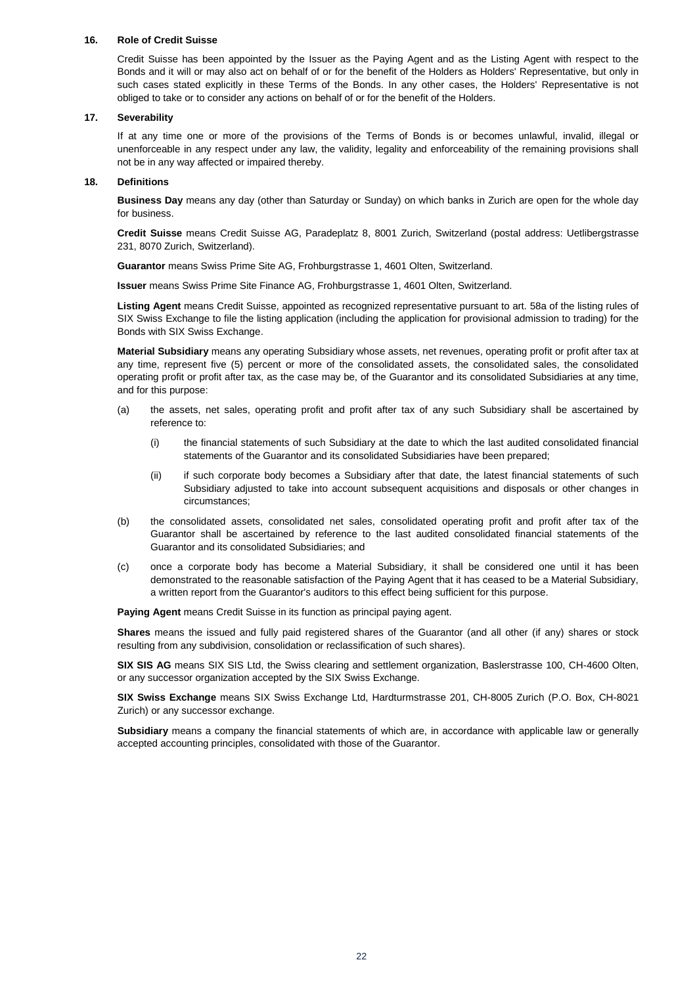#### **16. Role of Credit Suisse**

Credit Suisse has been appointed by the Issuer as the Paying Agent and as the Listing Agent with respect to the Bonds and it will or may also act on behalf of or for the benefit of the Holders as Holders' Representative, but only in such cases stated explicitly in these Terms of the Bonds. In any other cases, the Holders' Representative is not obliged to take or to consider any actions on behalf of or for the benefit of the Holders.

#### **17. Severability**

If at any time one or more of the provisions of the Terms of Bonds is or becomes unlawful, invalid, illegal or unenforceable in any respect under any law, the validity, legality and enforceability of the remaining provisions shall not be in any way affected or impaired thereby.

#### **18. Definitions**

**Business Day** means any day (other than Saturday or Sunday) on which banks in Zurich are open for the whole day for business.

**Credit Suisse** means Credit Suisse AG, Paradeplatz 8, 8001 Zurich, Switzerland (postal address: Uetlibergstrasse 231, 8070 Zurich, Switzerland).

**Guarantor** means Swiss Prime Site AG, Frohburgstrasse 1, 4601 Olten, Switzerland.

**Issuer** means Swiss Prime Site Finance AG, Frohburgstrasse 1, 4601 Olten, Switzerland.

**Listing Agent** means Credit Suisse, appointed as recognized representative pursuant to art. 58a of the listing rules of SIX Swiss Exchange to file the listing application (including the application for provisional admission to trading) for the Bonds with SIX Swiss Exchange.

**Material Subsidiary** means any operating Subsidiary whose assets, net revenues, operating profit or profit after tax at any time, represent five (5) percent or more of the consolidated assets, the consolidated sales, the consolidated operating profit or profit after tax, as the case may be, of the Guarantor and its consolidated Subsidiaries at any time, and for this purpose:

- (a) the assets, net sales, operating profit and profit after tax of any such Subsidiary shall be ascertained by reference to:
	- (i) the financial statements of such Subsidiary at the date to which the last audited consolidated financial statements of the Guarantor and its consolidated Subsidiaries have been prepared;
	- (ii) if such corporate body becomes a Subsidiary after that date, the latest financial statements of such Subsidiary adjusted to take into account subsequent acquisitions and disposals or other changes in circumstances;
- (b) the consolidated assets, consolidated net sales, consolidated operating profit and profit after tax of the Guarantor shall be ascertained by reference to the last audited consolidated financial statements of the Guarantor and its consolidated Subsidiaries; and
- (c) once a corporate body has become a Material Subsidiary, it shall be considered one until it has been demonstrated to the reasonable satisfaction of the Paying Agent that it has ceased to be a Material Subsidiary, a written report from the Guarantor's auditors to this effect being sufficient for this purpose.

**Paying Agent** means Credit Suisse in its function as principal paying agent.

**Shares** means the issued and fully paid registered shares of the Guarantor (and all other (if any) shares or stock resulting from any subdivision, consolidation or reclassification of such shares).

**SIX SIS AG** means SIX SIS Ltd, the Swiss clearing and settlement organization, Baslerstrasse 100, CH-4600 Olten, or any successor organization accepted by the SIX Swiss Exchange.

**SIX Swiss Exchange** means SIX Swiss Exchange Ltd, Hardturmstrasse 201, CH-8005 Zurich (P.O. Box, CH-8021 Zurich) or any successor exchange.

**Subsidiary** means a company the financial statements of which are, in accordance with applicable law or generally accepted accounting principles, consolidated with those of the Guarantor.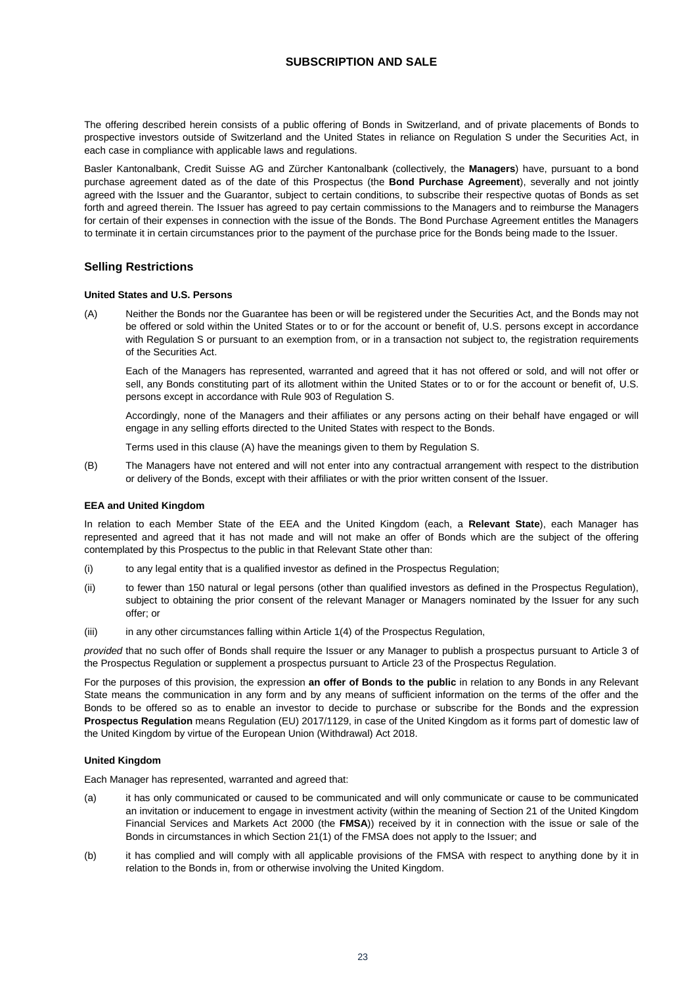## **SUBSCRIPTION AND SALE**

<span id="page-22-0"></span>The offering described herein consists of a public offering of Bonds in Switzerland, and of private placements of Bonds to prospective investors outside of Switzerland and the United States in reliance on Regulation S under the Securities Act, in each case in compliance with applicable laws and regulations.

Basler Kantonalbank, Credit Suisse AG and Zürcher Kantonalbank (collectively, the **Managers**) have, pursuant to a bond purchase agreement dated as of the date of this Prospectus (the **Bond Purchase Agreement**), severally and not jointly agreed with the Issuer and the Guarantor, subject to certain conditions, to subscribe their respective quotas of Bonds as set forth and agreed therein. The Issuer has agreed to pay certain commissions to the Managers and to reimburse the Managers for certain of their expenses in connection with the issue of the Bonds. The Bond Purchase Agreement entitles the Managers to terminate it in certain circumstances prior to the payment of the purchase price for the Bonds being made to the Issuer.

## **Selling Restrictions**

#### **United States and U.S. Persons**

(A) Neither the Bonds nor the Guarantee has been or will be registered under the Securities Act, and the Bonds may not be offered or sold within the United States or to or for the account or benefit of, U.S. persons except in accordance with Regulation S or pursuant to an exemption from, or in a transaction not subject to, the registration requirements of the Securities Act.

Each of the Managers has represented, warranted and agreed that it has not offered or sold, and will not offer or sell, any Bonds constituting part of its allotment within the United States or to or for the account or benefit of, U.S. persons except in accordance with Rule 903 of Regulation S.

Accordingly, none of the Managers and their affiliates or any persons acting on their behalf have engaged or will engage in any selling efforts directed to the United States with respect to the Bonds.

Terms used in this clause (A) have the meanings given to them by Regulation S.

(B) The Managers have not entered and will not enter into any contractual arrangement with respect to the distribution or delivery of the Bonds, except with their affiliates or with the prior written consent of the Issuer.

#### **EEA and United Kingdom**

In relation to each Member State of the EEA and the United Kingdom (each, a **Relevant State**), each Manager has represented and agreed that it has not made and will not make an offer of Bonds which are the subject of the offering contemplated by this Prospectus to the public in that Relevant State other than:

- (i) to any legal entity that is a qualified investor as defined in the Prospectus Regulation;
- (ii) to fewer than 150 natural or legal persons (other than qualified investors as defined in the Prospectus Regulation), subject to obtaining the prior consent of the relevant Manager or Managers nominated by the Issuer for any such offer; or
- (iii) in any other circumstances falling within Article 1(4) of the Prospectus Regulation,

*provided* that no such offer of Bonds shall require the Issuer or any Manager to publish a prospectus pursuant to Article 3 of the Prospectus Regulation or supplement a prospectus pursuant to Article 23 of the Prospectus Regulation.

For the purposes of this provision, the expression **an offer of Bonds to the public** in relation to any Bonds in any Relevant State means the communication in any form and by any means of sufficient information on the terms of the offer and the Bonds to be offered so as to enable an investor to decide to purchase or subscribe for the Bonds and the expression **Prospectus Regulation** means Regulation (EU) 2017/1129, in case of the United Kingdom as it forms part of domestic law of the United Kingdom by virtue of the European Union (Withdrawal) Act 2018.

#### **United Kingdom**

Each Manager has represented, warranted and agreed that:

- (a) it has only communicated or caused to be communicated and will only communicate or cause to be communicated an invitation or inducement to engage in investment activity (within the meaning of Section 21 of the United Kingdom Financial Services and Markets Act 2000 (the **FMSA**)) received by it in connection with the issue or sale of the Bonds in circumstances in which Section 21(1) of the FMSA does not apply to the Issuer; and
- (b) it has complied and will comply with all applicable provisions of the FMSA with respect to anything done by it in relation to the Bonds in, from or otherwise involving the United Kingdom.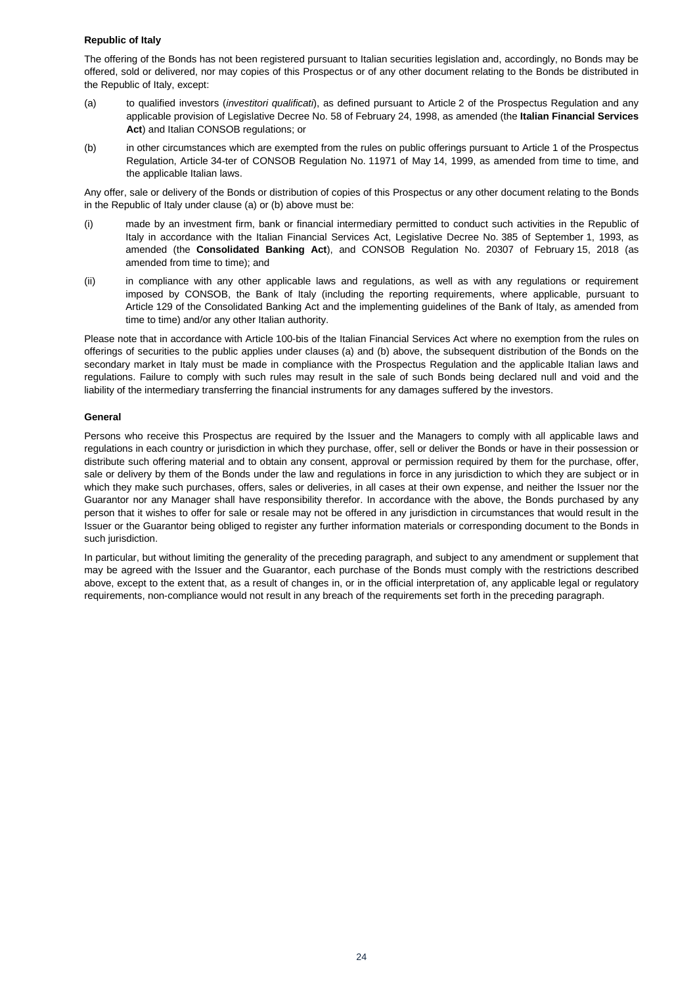#### **Republic of Italy**

The offering of the Bonds has not been registered pursuant to Italian securities legislation and, accordingly, no Bonds may be offered, sold or delivered, nor may copies of this Prospectus or of any other document relating to the Bonds be distributed in the Republic of Italy, except:

- (a) to qualified investors (*investitori qualificati*), as defined pursuant to Article 2 of the Prospectus Regulation and any applicable provision of Legislative Decree No. 58 of February 24, 1998, as amended (the **Italian Financial Services Act**) and Italian CONSOB regulations; or
- (b) in other circumstances which are exempted from the rules on public offerings pursuant to Article 1 of the Prospectus Regulation, Article 34-ter of CONSOB Regulation No. 11971 of May 14, 1999, as amended from time to time, and the applicable Italian laws.

Any offer, sale or delivery of the Bonds or distribution of copies of this Prospectus or any other document relating to the Bonds in the Republic of Italy under clause (a) or (b) above must be:

- (i) made by an investment firm, bank or financial intermediary permitted to conduct such activities in the Republic of Italy in accordance with the Italian Financial Services Act, Legislative Decree No. 385 of September 1, 1993, as amended (the **Consolidated Banking Act**), and CONSOB Regulation No. 20307 of February 15, 2018 (as amended from time to time); and
- (ii) in compliance with any other applicable laws and regulations, as well as with any regulations or requirement imposed by CONSOB, the Bank of Italy (including the reporting requirements, where applicable, pursuant to Article 129 of the Consolidated Banking Act and the implementing guidelines of the Bank of Italy, as amended from time to time) and/or any other Italian authority.

Please note that in accordance with Article 100-bis of the Italian Financial Services Act where no exemption from the rules on offerings of securities to the public applies under clauses (a) and (b) above, the subsequent distribution of the Bonds on the secondary market in Italy must be made in compliance with the Prospectus Regulation and the applicable Italian laws and regulations. Failure to comply with such rules may result in the sale of such Bonds being declared null and void and the liability of the intermediary transferring the financial instruments for any damages suffered by the investors.

#### **General**

Persons who receive this Prospectus are required by the Issuer and the Managers to comply with all applicable laws and regulations in each country or jurisdiction in which they purchase, offer, sell or deliver the Bonds or have in their possession or distribute such offering material and to obtain any consent, approval or permission required by them for the purchase, offer, sale or delivery by them of the Bonds under the law and regulations in force in any jurisdiction to which they are subject or in which they make such purchases, offers, sales or deliveries, in all cases at their own expense, and neither the Issuer nor the Guarantor nor any Manager shall have responsibility therefor. In accordance with the above, the Bonds purchased by any person that it wishes to offer for sale or resale may not be offered in any jurisdiction in circumstances that would result in the Issuer or the Guarantor being obliged to register any further information materials or corresponding document to the Bonds in such jurisdiction.

In particular, but without limiting the generality of the preceding paragraph, and subject to any amendment or supplement that may be agreed with the Issuer and the Guarantor, each purchase of the Bonds must comply with the restrictions described above, except to the extent that, as a result of changes in, or in the official interpretation of, any applicable legal or regulatory requirements, non-compliance would not result in any breach of the requirements set forth in the preceding paragraph.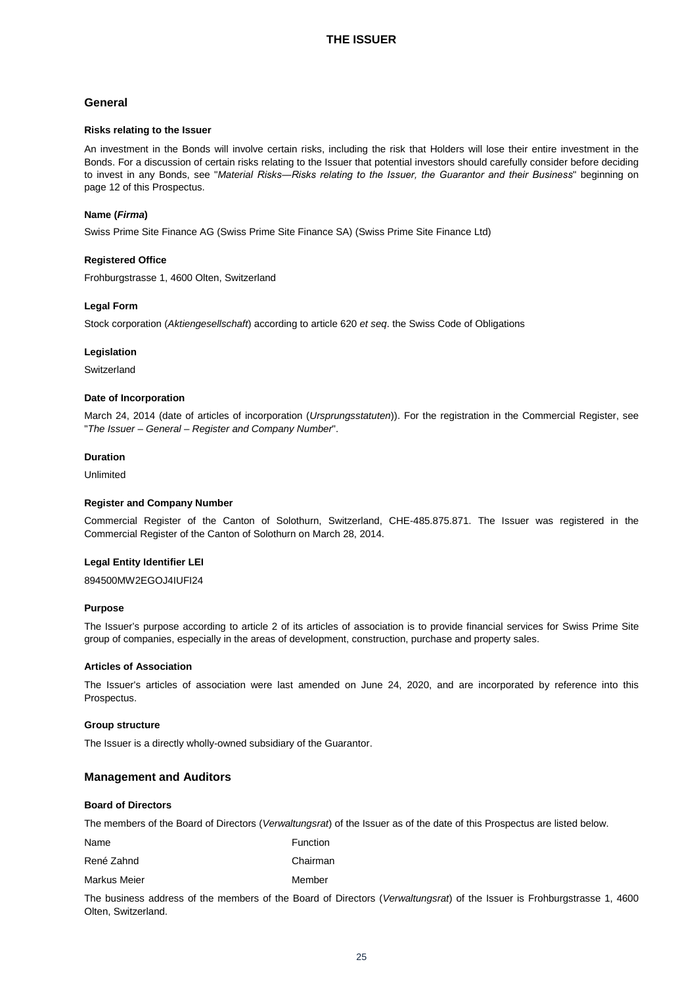## <span id="page-24-0"></span>**General**

#### **Risks relating to the Issuer**

An investment in the Bonds will involve certain risks, including the risk that Holders will lose their entire investment in the Bonds. For a discussion of certain risks relating to the Issuer that potential investors should carefully consider before deciding to invest in any Bonds, see "*Material Risks―Risks relating to the Issuer, the Guarantor and their Business*" beginning on page 12 of this Prospectus.

#### **Name (***Firma***)**

Swiss Prime Site Finance AG (Swiss Prime Site Finance SA) (Swiss Prime Site Finance Ltd)

#### **Registered Office**

Frohburgstrasse 1, 4600 Olten, Switzerland

#### **Legal Form**

Stock corporation (*Aktiengesellschaft*) according to article 620 *et seq*. the Swiss Code of Obligations

#### **Legislation**

Switzerland

#### **Date of Incorporation**

March 24, 2014 (date of articles of incorporation (*Ursprungsstatuten*)). For the registration in the Commercial Register, see "*The Issuer – General – Register and Company Number*".

## **Duration**

Unlimited

#### **Register and Company Number**

Commercial Register of the Canton of Solothurn, Switzerland, CHE-485.875.871. The Issuer was registered in the Commercial Register of the Canton of Solothurn on March 28, 2014.

#### **Legal Entity Identifier LEI**

894500MW2EGOJ4IUFI24

#### **Purpose**

The Issuer's purpose according to article 2 of its articles of association is to provide financial services for Swiss Prime Site group of companies, especially in the areas of development, construction, purchase and property sales.

#### **Articles of Association**

The Issuer's articles of association were last amended on June 24, 2020, and are incorporated by reference into this Prospectus.

#### **Group structure**

The Issuer is a directly wholly-owned subsidiary of the Guarantor.

#### **Management and Auditors**

#### **Board of Directors**

The members of the Board of Directors (*Verwaltungsrat*) of the Issuer as of the date of this Prospectus are listed below.

Name **Name Function** 

René Zahnd **Chairman** 

Markus Meier **Member** Member

The business address of the members of the Board of Directors (*Verwaltungsrat*) of the Issuer is Frohburgstrasse 1, 4600 Olten, Switzerland.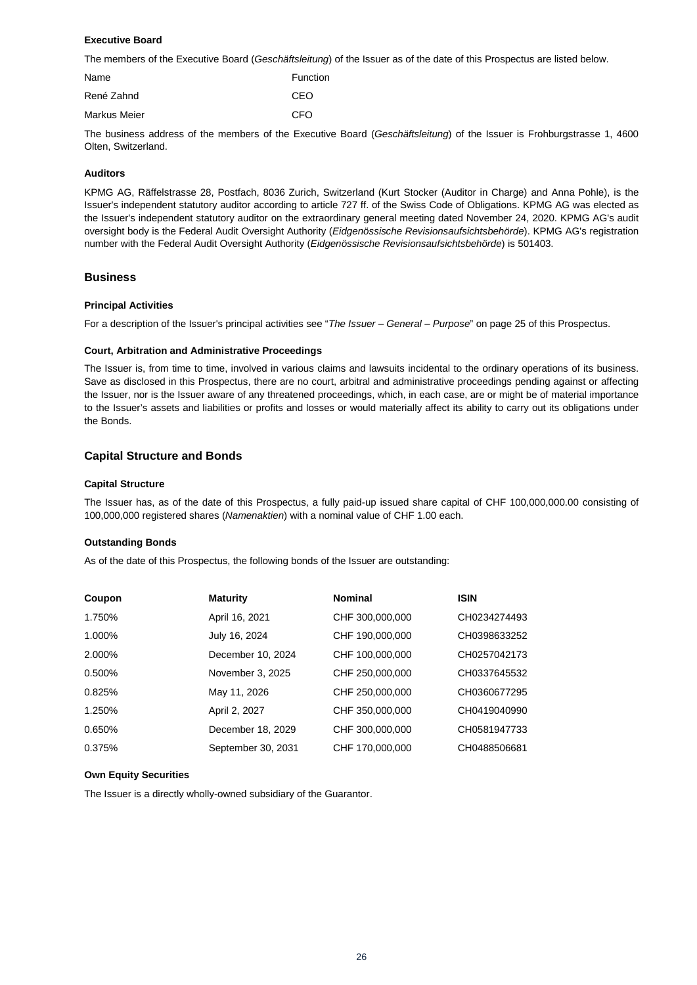#### **Executive Board**

The members of the Executive Board (*Geschäftsleitung*) of the Issuer as of the date of this Prospectus are listed below.

| Name         | Function |
|--------------|----------|
| René Zahnd   | CEO      |
| Markus Meier | CFO      |

The business address of the members of the Executive Board (*Geschäftsleitung*) of the Issuer is Frohburgstrasse 1, 4600 Olten, Switzerland.

#### **Auditors**

KPMG AG, Räffelstrasse 28, Postfach, 8036 Zurich, Switzerland (Kurt Stocker (Auditor in Charge) and Anna Pohle), is the Issuer's independent statutory auditor according to article 727 ff. of the Swiss Code of Obligations. KPMG AG was elected as the Issuer's independent statutory auditor on the extraordinary general meeting dated November 24, 2020. KPMG AG's audit oversight body is the Federal Audit Oversight Authority (*Eidgenössische Revisionsaufsichtsbehörde*). KPMG AG's registration number with the Federal Audit Oversight Authority (*Eidgenössische Revisionsaufsichtsbehörde*) is 501403.

## **Business**

#### **Principal Activities**

For a description of the Issuer's principal activities see "*The Issuer – General – Purpose*" on page 25 of this Prospectus.

#### **Court, Arbitration and Administrative Proceedings**

The Issuer is, from time to time, involved in various claims and lawsuits incidental to the ordinary operations of its business. Save as disclosed in this Prospectus, there are no court, arbitral and administrative proceedings pending against or affecting the Issuer, nor is the Issuer aware of any threatened proceedings, which, in each case, are or might be of material importance to the Issuer's assets and liabilities or profits and losses or would materially affect its ability to carry out its obligations under the Bonds.

## **Capital Structure and Bonds**

#### **Capital Structure**

The Issuer has, as of the date of this Prospectus, a fully paid-up issued share capital of CHF 100,000,000.00 consisting of 100,000,000 registered shares (*Namenaktien*) with a nominal value of CHF 1.00 each.

#### **Outstanding Bonds**

As of the date of this Prospectus, the following bonds of the Issuer are outstanding:

| Coupon | <b>Maturity</b>    | <b>Nominal</b>  | <b>ISIN</b>  |
|--------|--------------------|-----------------|--------------|
| 1.750% | April 16, 2021     | CHF 300,000,000 | CH0234274493 |
| 1.000% | July 16, 2024      | CHF 190,000,000 | CH0398633252 |
| 2.000% | December 10, 2024  | CHF 100,000,000 | CH0257042173 |
| 0.500% | November 3, 2025   | CHF 250,000,000 | CH0337645532 |
| 0.825% | May 11, 2026       | CHF 250,000,000 | CH0360677295 |
| 1.250% | April 2, 2027      | CHF 350,000,000 | CH0419040990 |
| 0.650% | December 18, 2029  | CHF 300,000,000 | CH0581947733 |
| 0.375% | September 30, 2031 | CHF 170,000,000 | CH0488506681 |

#### **Own Equity Securities**

The Issuer is a directly wholly-owned subsidiary of the Guarantor.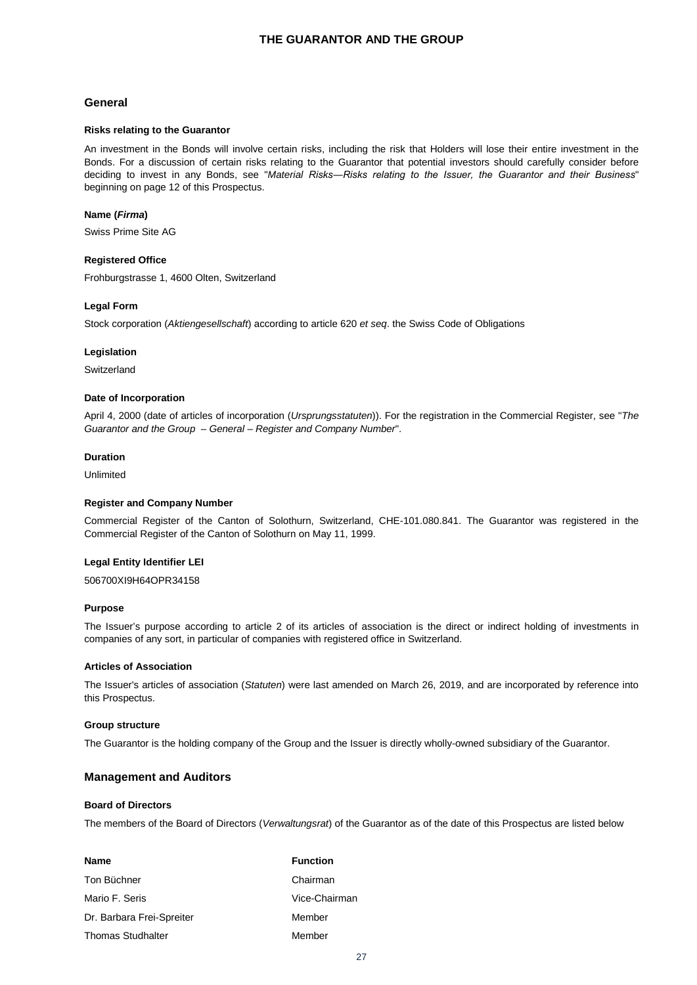## **THE GUARANTOR AND THE GROUP**

## <span id="page-26-0"></span>**General**

#### **Risks relating to the Guarantor**

An investment in the Bonds will involve certain risks, including the risk that Holders will lose their entire investment in the Bonds. For a discussion of certain risks relating to the Guarantor that potential investors should carefully consider before deciding to invest in any Bonds, see "*Material Risks―Risks relating to the Issuer, the Guarantor and their Business*" beginning on page 12 of this Prospectus.

#### **Name (***Firma***)**

Swiss Prime Site AG

#### **Registered Office**

Frohburgstrasse 1, 4600 Olten, Switzerland

#### **Legal Form**

Stock corporation (*Aktiengesellschaft*) according to article 620 *et seq*. the Swiss Code of Obligations

#### **Legislation**

Switzerland

#### **Date of Incorporation**

April 4, 2000 (date of articles of incorporation (*Ursprungsstatuten*)). For the registration in the Commercial Register, see "*The Guarantor and the Group – General – Register and Company Number*".

## **Duration**

Unlimited

#### **Register and Company Number**

Commercial Register of the Canton of Solothurn, Switzerland, CHE-101.080.841. The Guarantor was registered in the Commercial Register of the Canton of Solothurn on May 11, 1999.

#### **Legal Entity Identifier LEI**

506700XI9H64OPR34158

#### **Purpose**

The Issuer's purpose according to article 2 of its articles of association is the direct or indirect holding of investments in companies of any sort, in particular of companies with registered office in Switzerland.

#### **Articles of Association**

The Issuer's articles of association (*Statuten*) were last amended on March 26, 2019, and are incorporated by reference into this Prospectus.

#### **Group structure**

The Guarantor is the holding company of the Group and the Issuer is directly wholly-owned subsidiary of the Guarantor.

#### **Management and Auditors**

#### **Board of Directors**

The members of the Board of Directors (*Verwaltungsrat*) of the Guarantor as of the date of this Prospectus are listed below

| Name                      | <b>Function</b> |
|---------------------------|-----------------|
| Ton Büchner               | Chairman        |
| Mario F. Seris            | Vice-Chairman   |
| Dr. Barbara Frei-Spreiter | Member          |
| <b>Thomas Studhalter</b>  | Member          |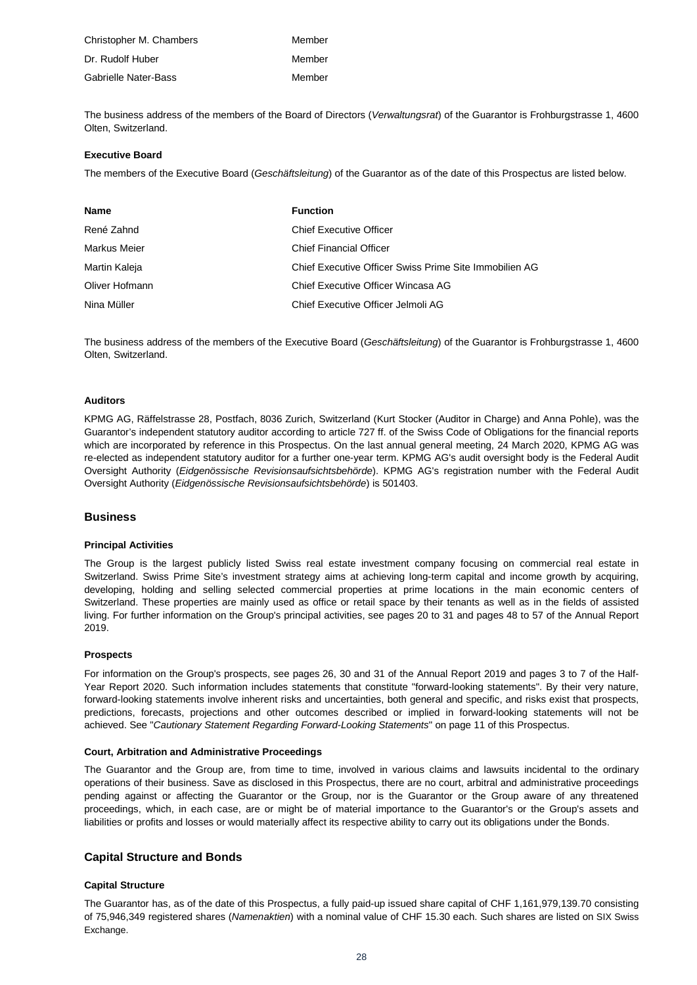| Christopher M. Chambers | Member |
|-------------------------|--------|
| Dr. Rudolf Huber        | Member |
| Gabrielle Nater-Bass    | Member |

The business address of the members of the Board of Directors (*Verwaltungsrat*) of the Guarantor is Frohburgstrasse 1, 4600 Olten, Switzerland.

#### **Executive Board**

The members of the Executive Board (*Geschäftsleitung*) of the Guarantor as of the date of this Prospectus are listed below.

| <b>Name</b>    | <b>Function</b>                                        |
|----------------|--------------------------------------------------------|
| René Zahnd     | <b>Chief Executive Officer</b>                         |
| Markus Meier   | <b>Chief Financial Officer</b>                         |
| Martin Kaleja  | Chief Executive Officer Swiss Prime Site Immobilien AG |
| Oliver Hofmann | Chief Executive Officer Wincasa AG                     |
| Nina Müller    | Chief Executive Officer Jelmoli AG                     |

The business address of the members of the Executive Board (*Geschäftsleitung*) of the Guarantor is Frohburgstrasse 1, 4600 Olten, Switzerland.

#### **Auditors**

KPMG AG, Räffelstrasse 28, Postfach, 8036 Zurich, Switzerland (Kurt Stocker (Auditor in Charge) and Anna Pohle), was the Guarantor's independent statutory auditor according to article 727 ff. of the Swiss Code of Obligations for the financial reports which are incorporated by reference in this Prospectus. On the last annual general meeting, 24 March 2020, KPMG AG was re-elected as independent statutory auditor for a further one-year term. KPMG AG's audit oversight body is the Federal Audit Oversight Authority (*Eidgenössische Revisionsaufsichtsbehörde*). KPMG AG's registration number with the Federal Audit Oversight Authority (*Eidgenössische Revisionsaufsichtsbehörde*) is 501403.

#### **Business**

#### **Principal Activities**

The Group is the largest publicly listed Swiss real estate investment company focusing on commercial real estate in Switzerland. Swiss Prime Site's investment strategy aims at achieving long-term capital and income growth by acquiring, developing, holding and selling selected commercial properties at prime locations in the main economic centers of Switzerland. These properties are mainly used as office or retail space by their tenants as well as in the fields of assisted living. For further information on the Group's principal activities, see pages 20 to 31 and pages 48 to 57 of the Annual Report 2019.

#### **Prospects**

For information on the Group's prospects, see pages 26, 30 and 31 of the Annual Report 2019 and pages 3 to 7 of the Half-Year Report 2020. Such information includes statements that constitute "forward-looking statements". By their very nature, forward-looking statements involve inherent risks and uncertainties, both general and specific, and risks exist that prospects, predictions, forecasts, projections and other outcomes described or implied in forward-looking statements will not be achieved. See "*Cautionary Statement Regarding Forward-Looking Statements*" on page 11 of this Prospectus.

#### **Court, Arbitration and Administrative Proceedings**

The Guarantor and the Group are, from time to time, involved in various claims and lawsuits incidental to the ordinary operations of their business. Save as disclosed in this Prospectus, there are no court, arbitral and administrative proceedings pending against or affecting the Guarantor or the Group, nor is the Guarantor or the Group aware of any threatened proceedings, which, in each case, are or might be of material importance to the Guarantor's or the Group's assets and liabilities or profits and losses or would materially affect its respective ability to carry out its obligations under the Bonds.

## **Capital Structure and Bonds**

#### **Capital Structure**

The Guarantor has, as of the date of this Prospectus, a fully paid-up issued share capital of CHF 1,161,979,139.70 consisting of 75,946,349 registered shares (*Namenaktien*) with a nominal value of CHF 15.30 each. Such shares are listed on SIX Swiss Exchange.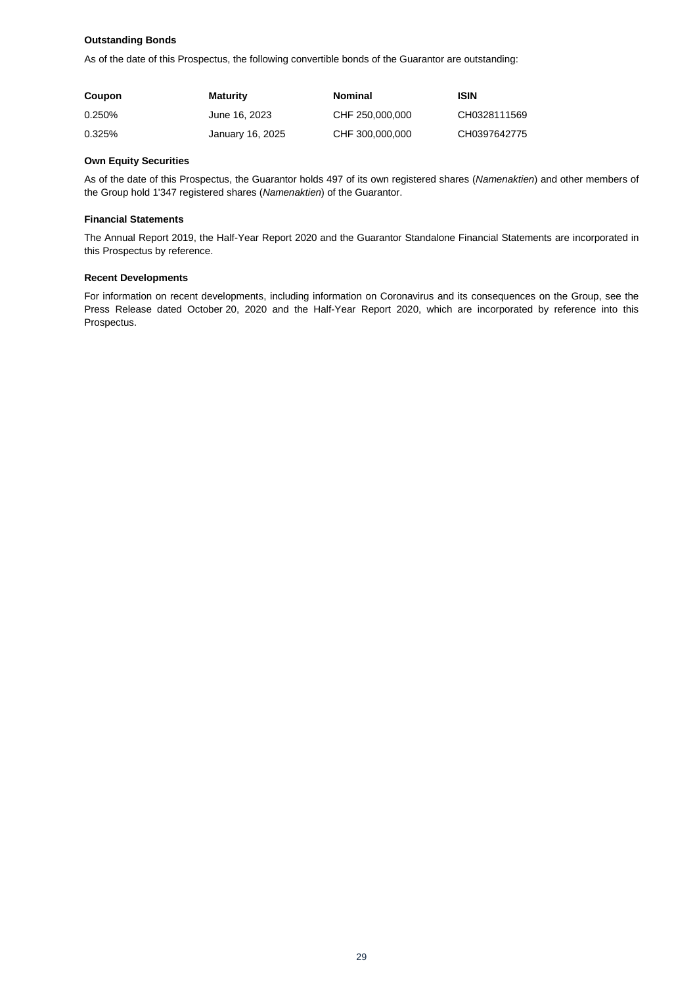## **Outstanding Bonds**

As of the date of this Prospectus, the following convertible bonds of the Guarantor are outstanding:

| Coupon | <b>Maturity</b>  | <b>Nominal</b>  | ISIN         |
|--------|------------------|-----------------|--------------|
| 0.250% | June 16, 2023    | CHF 250,000,000 | CH0328111569 |
| 0.325% | January 16, 2025 | CHF 300,000,000 | CH0397642775 |

#### **Own Equity Securities**

As of the date of this Prospectus, the Guarantor holds 497 of its own registered shares (*Namenaktien*) and other members of the Group hold 1'347 registered shares (*Namenaktien*) of the Guarantor.

#### **Financial Statements**

The Annual Report 2019, the Half-Year Report 2020 and the Guarantor Standalone Financial Statements are incorporated in this Prospectus by reference.

#### **Recent Developments**

For information on recent developments, including information on Coronavirus and its consequences on the Group, see the Press Release dated October 20, 2020 and the Half-Year Report 2020, which are incorporated by reference into this Prospectus.